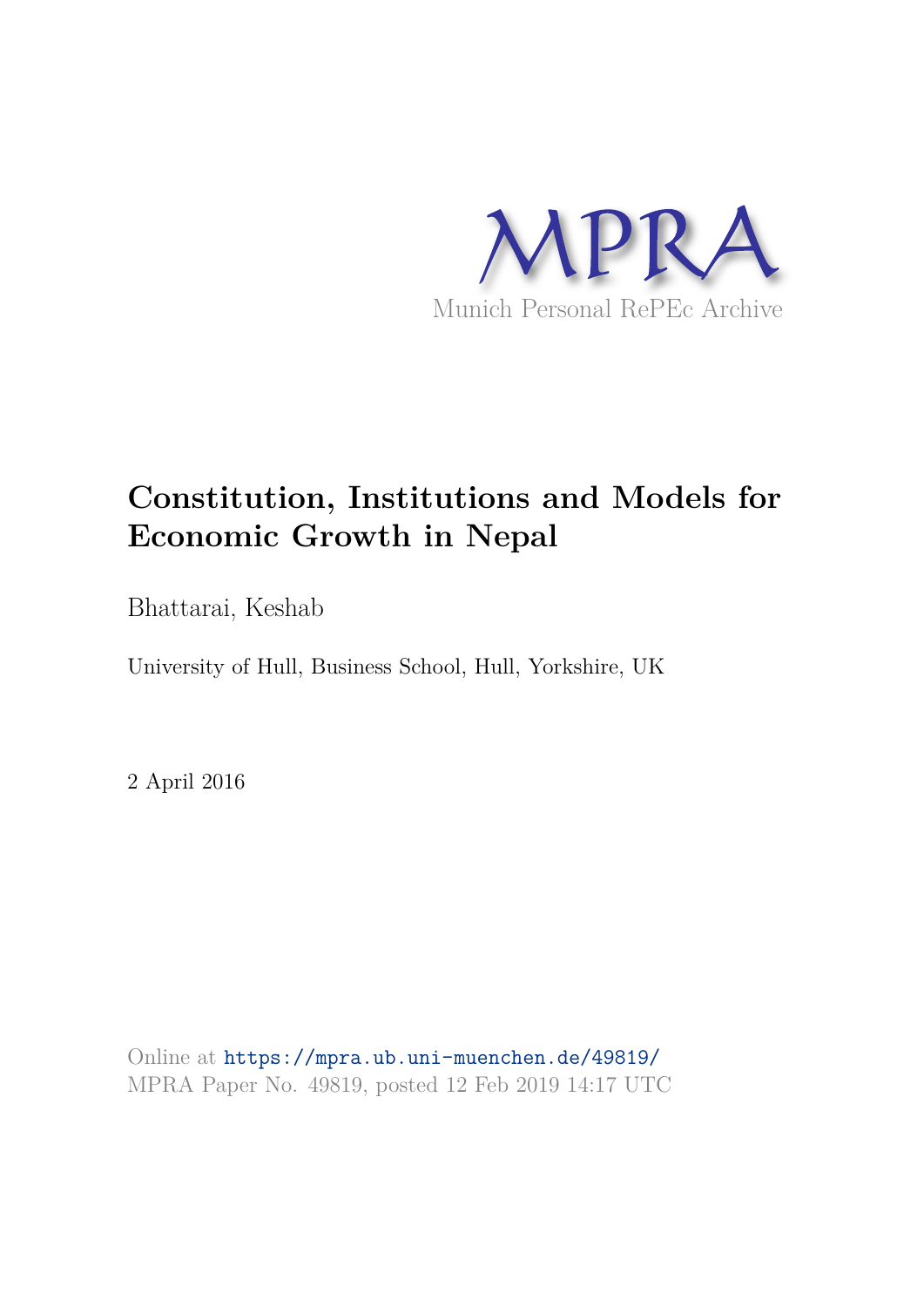

# **Constitution, Institutions and Models for Economic Growth in Nepal**

Bhattarai, Keshab

University of Hull, Business School, Hull, Yorkshire, UK

2 April 2016

Online at https://mpra.ub.uni-muenchen.de/49819/ MPRA Paper No. 49819, posted 12 Feb 2019 14:17 UTC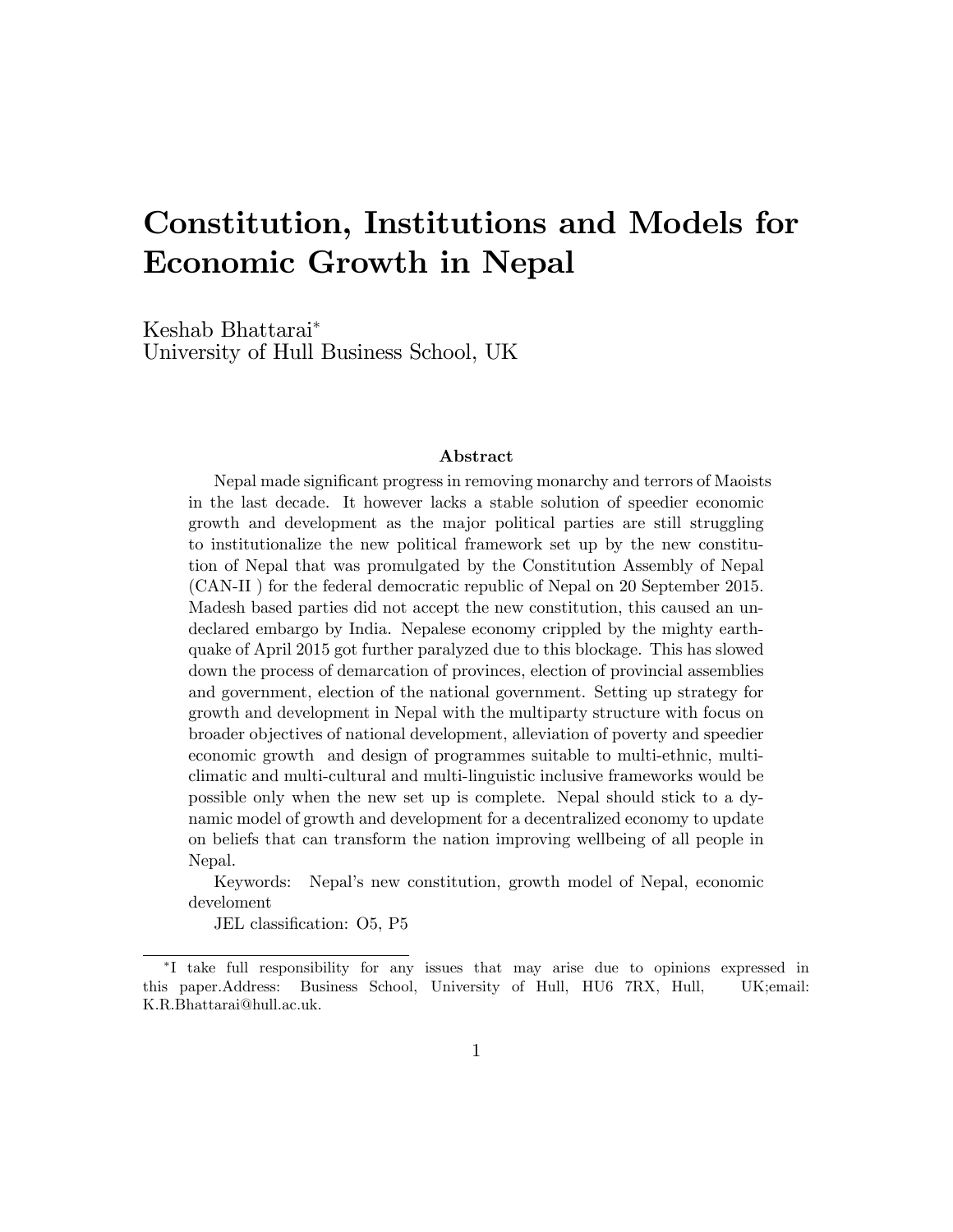## Constitution, Institutions and Models for Economic Growth in Nepal

Keshab Bhattarai University of Hull Business School, UK

#### Abstract

Nepal made significant progress in removing monarchy and terrors of Maoists in the last decade. It however lacks a stable solution of speedier economic growth and development as the major political parties are still struggling to institutionalize the new political framework set up by the new constitution of Nepal that was promulgated by the Constitution Assembly of Nepal (CAN-II ) for the federal democratic republic of Nepal on 20 September 2015. Madesh based parties did not accept the new constitution, this caused an undeclared embargo by India. Nepalese economy crippled by the mighty earthquake of April 2015 got further paralyzed due to this blockage. This has slowed down the process of demarcation of provinces, election of provincial assemblies and government, election of the national government. Setting up strategy for growth and development in Nepal with the multiparty structure with focus on broader objectives of national development, alleviation of poverty and speedier economic growth and design of programmes suitable to multi-ethnic, multiclimatic and multi-cultural and multi-linguistic inclusive frameworks would be possible only when the new set up is complete. Nepal should stick to a dynamic model of growth and development for a decentralized economy to update on beliefs that can transform the nation improving wellbeing of all people in Nepal.

Keywords: Nepalís new constitution, growth model of Nepal, economic develoment

JEL classification: O5, P5

I take full responsibility for any issues that may arise due to opinions expressed in this paper.Address: Business School, University of Hull, HU6 7RX, Hull, UK;email: K.R.Bhattarai@hull.ac.uk.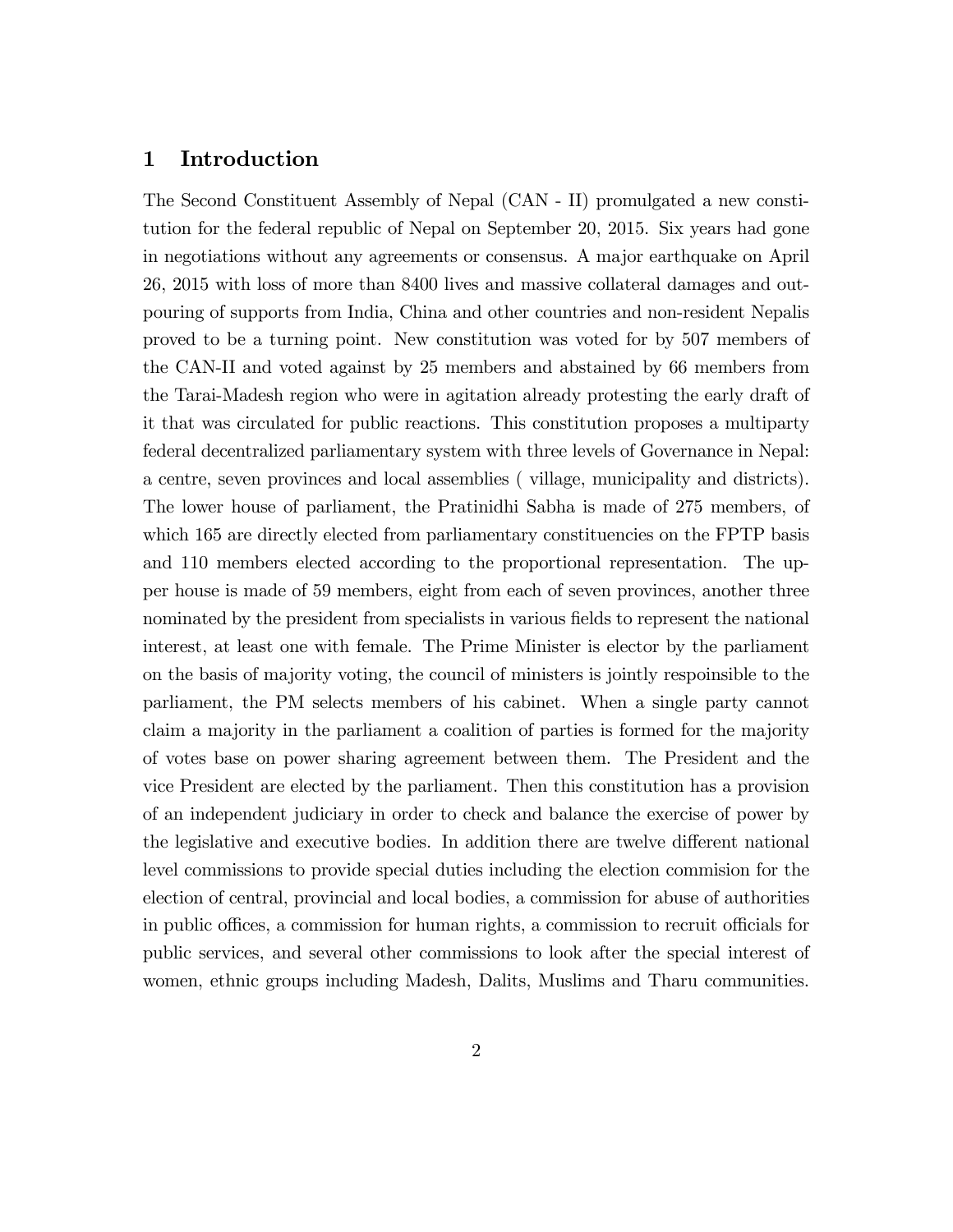## 1 Introduction

The Second Constituent Assembly of Nepal (CAN - II) promulgated a new constitution for the federal republic of Nepal on September 20, 2015. Six years had gone in negotiations without any agreements or consensus. A major earthquake on April 26, 2015 with loss of more than 8400 lives and massive collateral damages and outpouring of supports from India, China and other countries and non-resident Nepalis proved to be a turning point. New constitution was voted for by 507 members of the CAN-II and voted against by 25 members and abstained by 66 members from the Tarai-Madesh region who were in agitation already protesting the early draft of it that was circulated for public reactions. This constitution proposes a multiparty federal decentralized parliamentary system with three levels of Governance in Nepal: a centre, seven provinces and local assemblies ( village, municipality and districts). The lower house of parliament, the Pratinidhi Sabha is made of 275 members, of which 165 are directly elected from parliamentary constituencies on the FPTP basis and 110 members elected according to the proportional representation. The upper house is made of 59 members, eight from each of seven provinces, another three nominated by the president from specialists in various fields to represent the national interest, at least one with female. The Prime Minister is elector by the parliament on the basis of majority voting, the council of ministers is jointly respoinsible to the parliament, the PM selects members of his cabinet. When a single party cannot claim a majority in the parliament a coalition of parties is formed for the majority of votes base on power sharing agreement between them. The President and the vice President are elected by the parliament. Then this constitution has a provision of an independent judiciary in order to check and balance the exercise of power by the legislative and executive bodies. In addition there are twelve different national level commissions to provide special duties including the election commision for the election of central, provincial and local bodies, a commission for abuse of authorities in public offices, a commission for human rights, a commission to recruit officials for public services, and several other commissions to look after the special interest of women, ethnic groups including Madesh, Dalits, Muslims and Tharu communities.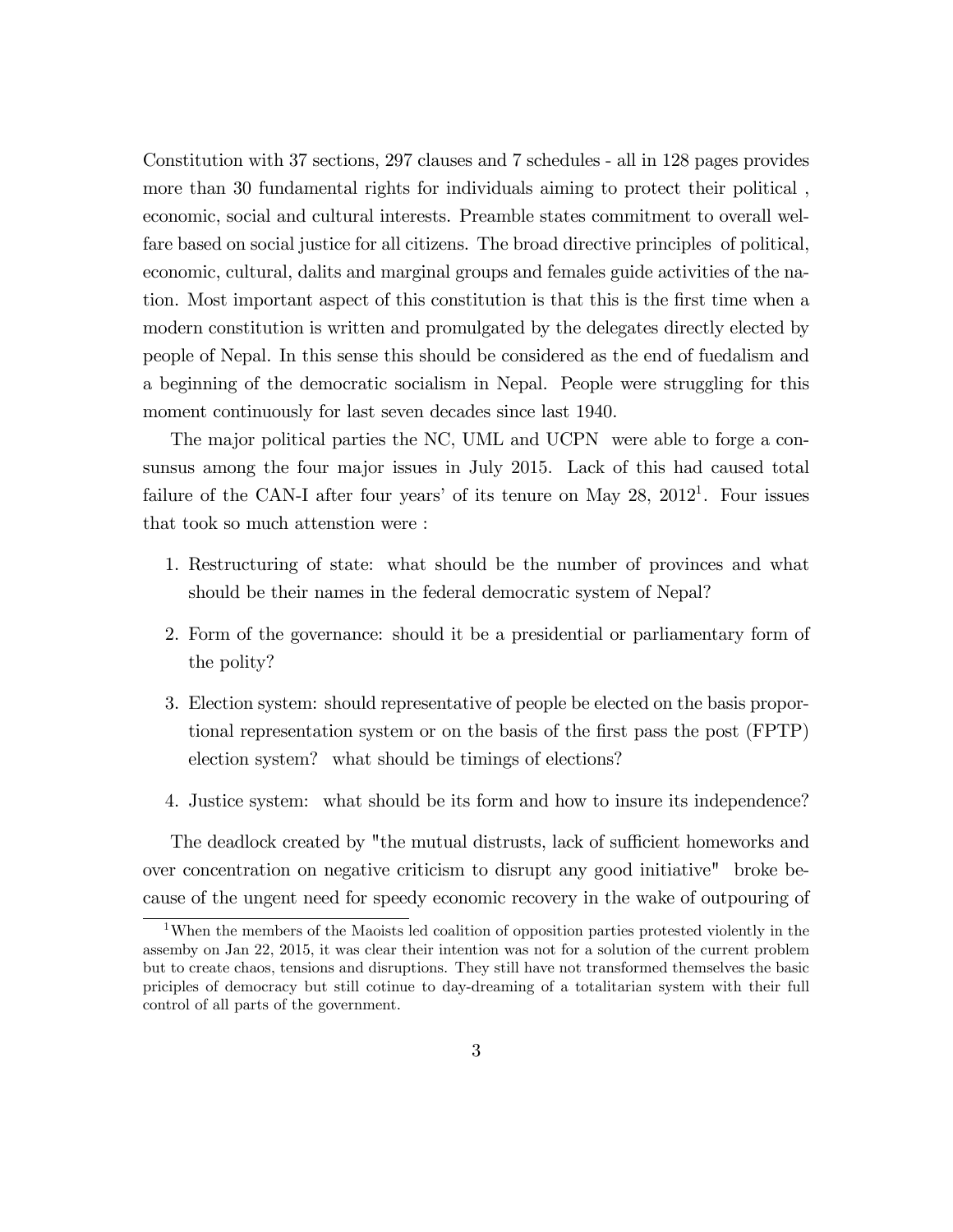Constitution with 37 sections, 297 clauses and 7 schedules - all in 128 pages provides more than 30 fundamental rights for individuals aiming to protect their political , economic, social and cultural interests. Preamble states commitment to overall welfare based on social justice for all citizens. The broad directive principles of political, economic, cultural, dalits and marginal groups and females guide activities of the nation. Most important aspect of this constitution is that this is the Örst time when a modern constitution is written and promulgated by the delegates directly elected by people of Nepal. In this sense this should be considered as the end of fuedalism and a beginning of the democratic socialism in Nepal. People were struggling for this moment continuously for last seven decades since last 1940.

The major political parties the NC, UML and UCPN were able to forge a consunsus among the four major issues in July 2015. Lack of this had caused total failure of the CAN-I after four years' of its tenure on May  $28$ ,  $2012<sup>1</sup>$ . Four issues that took so much attenstion were :

- 1. Restructuring of state: what should be the number of provinces and what should be their names in the federal democratic system of Nepal?
- 2. Form of the governance: should it be a presidential or parliamentary form of the polity?
- 3. Election system: should representative of people be elected on the basis proportional representation system or on the basis of the Örst pass the post (FPTP) election system? what should be timings of elections?
- 4. Justice system: what should be its form and how to insure its independence?

The deadlock created by "the mutual distrusts, lack of sufficient homeworks and over concentration on negative criticism to disrupt any good initiative" broke because of the ungent need for speedy economic recovery in the wake of outpouring of

<sup>&</sup>lt;sup>1</sup>When the members of the Maoists led coalition of opposition parties protested violently in the assemby on Jan 22, 2015, it was clear their intention was not for a solution of the current problem but to create chaos, tensions and disruptions. They still have not transformed themselves the basic priciples of democracy but still cotinue to day-dreaming of a totalitarian system with their full control of all parts of the government.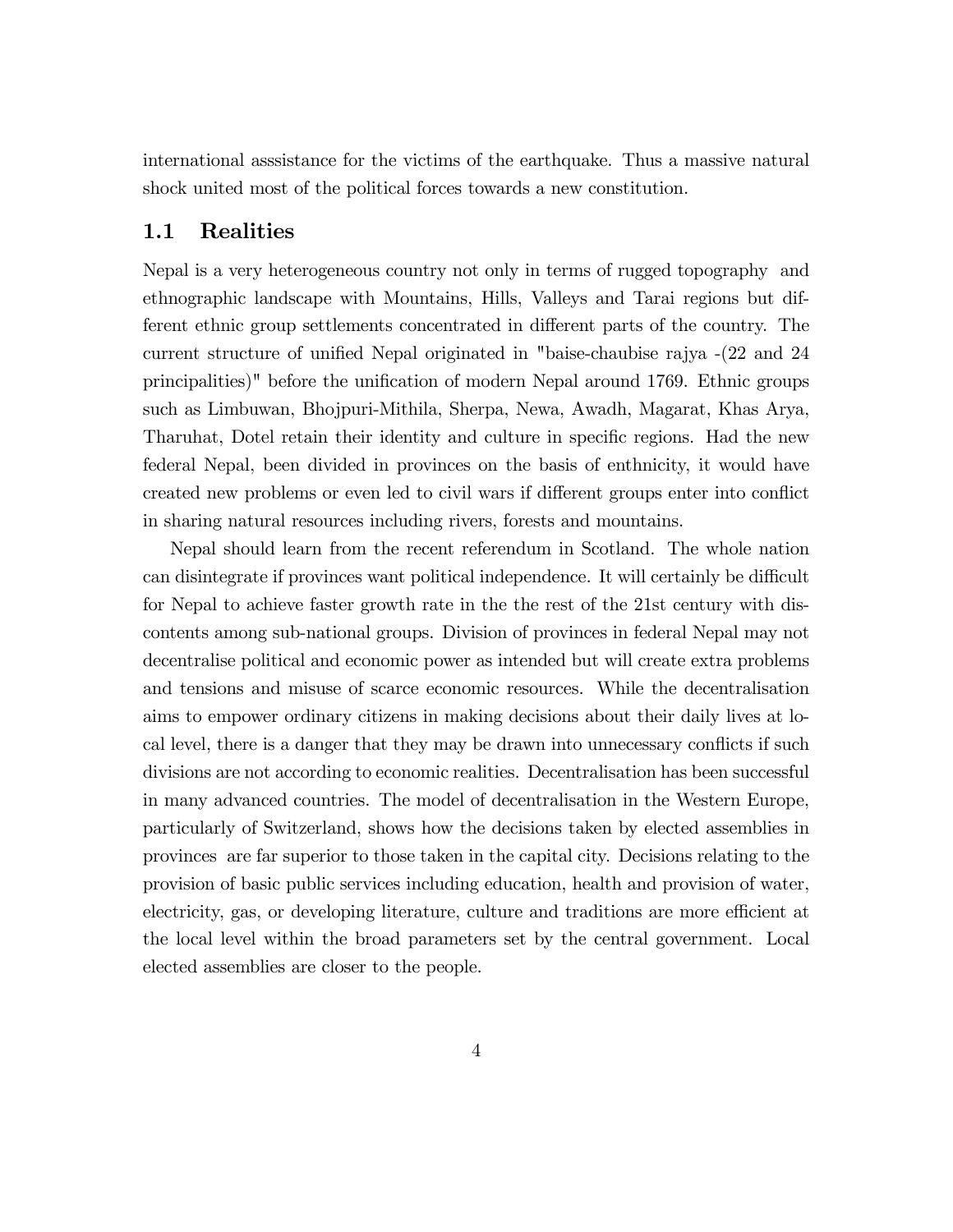international asssistance for the victims of the earthquake. Thus a massive natural shock united most of the political forces towards a new constitution.

## 1.1 Realities

Nepal is a very heterogeneous country not only in terms of rugged topography and ethnographic landscape with Mountains, Hills, Valleys and Tarai regions but different ethnic group settlements concentrated in different parts of the country. The current structure of unified Nepal originated in "baise-chaubise rajya  $-(22 \text{ and } 24 \text{)}$ principalities)" before the unification of modern Nepal around 1769. Ethnic groups such as Limbuwan, Bhojpuri-Mithila, Sherpa, Newa, Awadh, Magarat, Khas Arya, Tharuhat, Dotel retain their identity and culture in specific regions. Had the new federal Nepal, been divided in provinces on the basis of enthnicity, it would have created new problems or even led to civil wars if different groups enter into conflict in sharing natural resources including rivers, forests and mountains.

Nepal should learn from the recent referendum in Scotland. The whole nation can disintegrate if provinces want political independence. It will certainly be difficult for Nepal to achieve faster growth rate in the the rest of the 21st century with discontents among sub-national groups. Division of provinces in federal Nepal may not decentralise political and economic power as intended but will create extra problems and tensions and misuse of scarce economic resources. While the decentralisation aims to empower ordinary citizens in making decisions about their daily lives at local level, there is a danger that they may be drawn into unnecessary conflicts if such divisions are not according to economic realities. Decentralisation has been successful in many advanced countries. The model of decentralisation in the Western Europe, particularly of Switzerland, shows how the decisions taken by elected assemblies in provinces are far superior to those taken in the capital city. Decisions relating to the provision of basic public services including education, health and provision of water, electricity, gas, or developing literature, culture and traditions are more efficient at the local level within the broad parameters set by the central government. Local elected assemblies are closer to the people.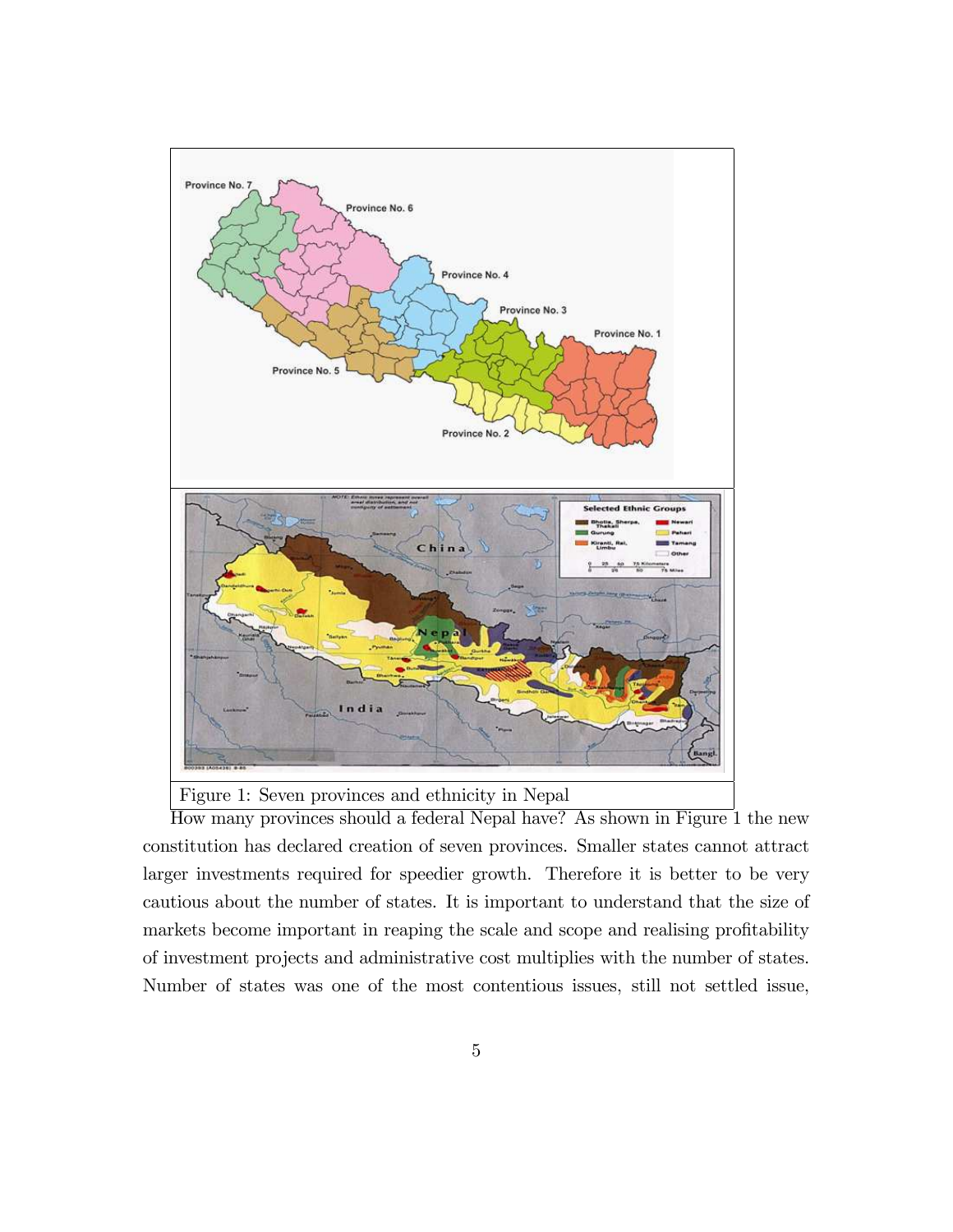

Figure 1: Seven provinces and ethnicity in Nepal

How many provinces should a federal Nepal have? As shown in Figure 1 the new constitution has declared creation of seven provinces. Smaller states cannot attract larger investments required for speedier growth. Therefore it is better to be very cautious about the number of states. It is important to understand that the size of markets become important in reaping the scale and scope and realising profitability of investment projects and administrative cost multiplies with the number of states. Number of states was one of the most contentious issues, still not settled issue,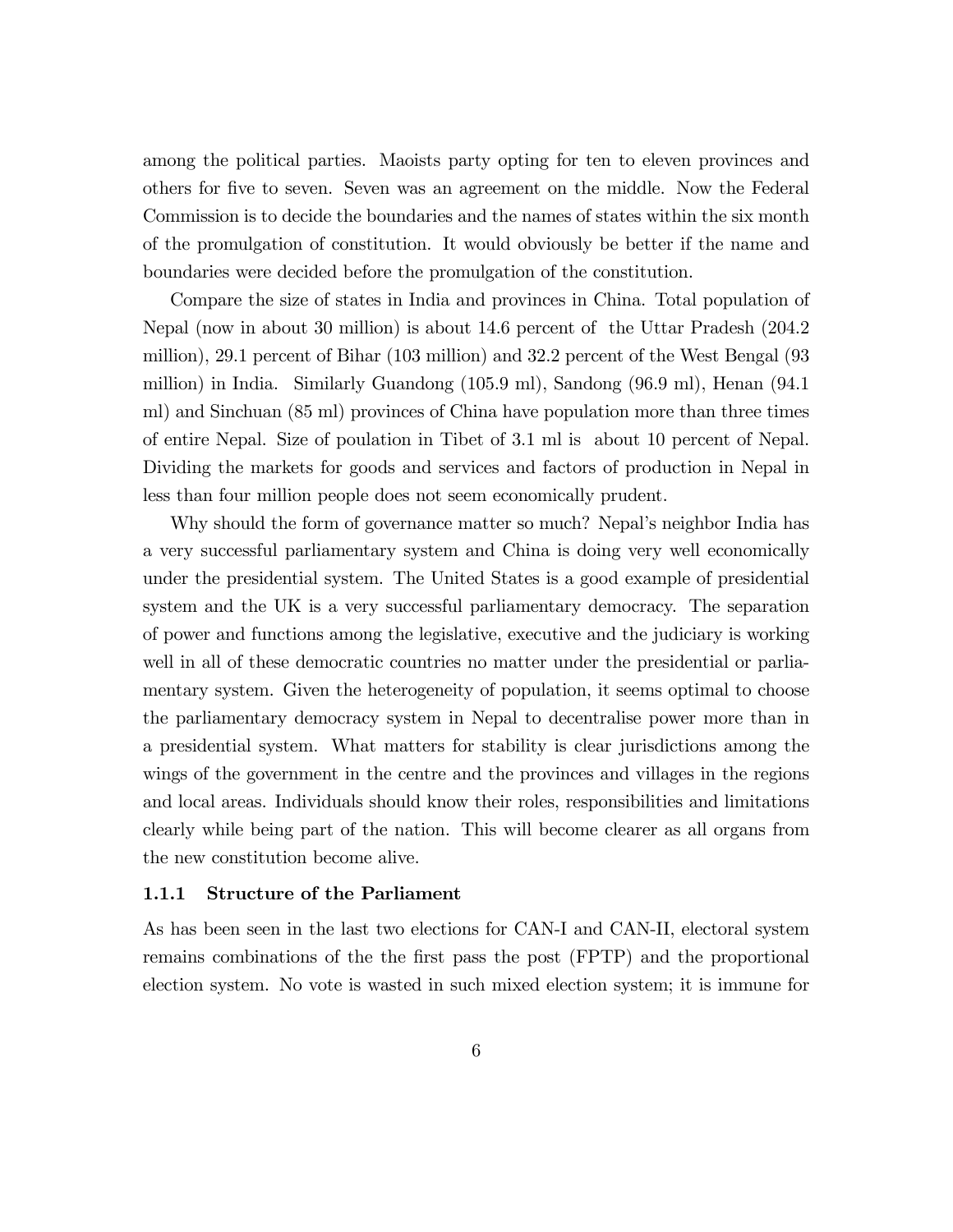among the political parties. Maoists party opting for ten to eleven provinces and others for Öve to seven. Seven was an agreement on the middle. Now the Federal Commission is to decide the boundaries and the names of states within the six month of the promulgation of constitution. It would obviously be better if the name and boundaries were decided before the promulgation of the constitution.

Compare the size of states in India and provinces in China. Total population of Nepal (now in about 30 million) is about 14.6 percent of the Uttar Pradesh (204.2 million), 29.1 percent of Bihar (103 million) and 32.2 percent of the West Bengal (93 million) in India. Similarly Guandong (105.9 ml), Sandong (96.9 ml), Henan (94.1 ml) and Sinchuan (85 ml) provinces of China have population more than three times of entire Nepal. Size of poulation in Tibet of 3.1 ml is about 10 percent of Nepal. Dividing the markets for goods and services and factors of production in Nepal in less than four million people does not seem economically prudent.

Why should the form of governance matter so much? Nepal's neighbor India has a very successful parliamentary system and China is doing very well economically under the presidential system. The United States is a good example of presidential system and the UK is a very successful parliamentary democracy. The separation of power and functions among the legislative, executive and the judiciary is working well in all of these democratic countries no matter under the presidential or parliamentary system. Given the heterogeneity of population, it seems optimal to choose the parliamentary democracy system in Nepal to decentralise power more than in a presidential system. What matters for stability is clear jurisdictions among the wings of the government in the centre and the provinces and villages in the regions and local areas. Individuals should know their roles, responsibilities and limitations clearly while being part of the nation. This will become clearer as all organs from the new constitution become alive.

#### 1.1.1 Structure of the Parliament

As has been seen in the last two elections for CAN-I and CAN-II, electoral system remains combinations of the the first pass the post (FPTP) and the proportional election system. No vote is wasted in such mixed election system; it is immune for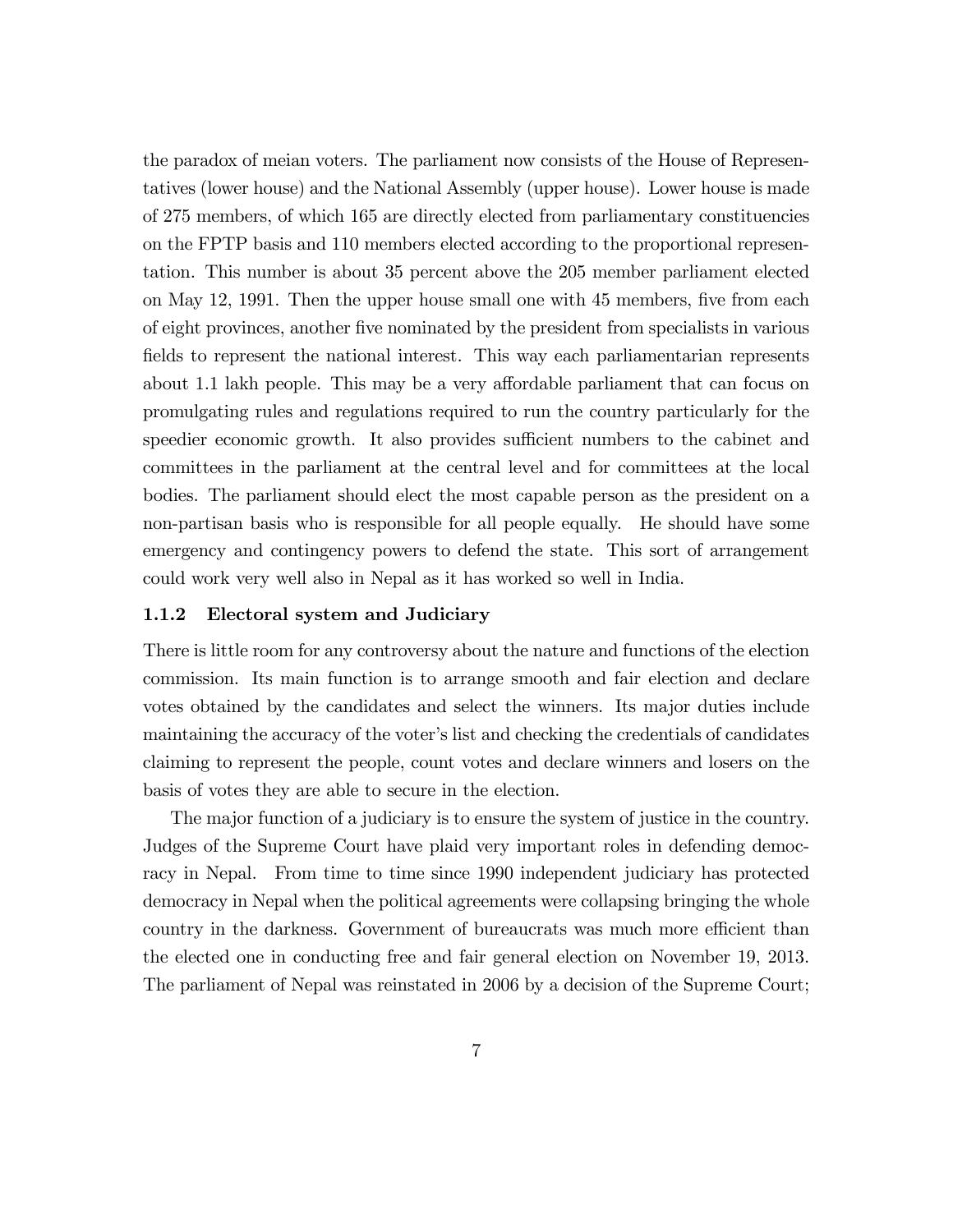the paradox of meian voters. The parliament now consists of the House of Representatives (lower house) and the National Assembly (upper house). Lower house is made of 275 members, of which 165 are directly elected from parliamentary constituencies on the FPTP basis and 110 members elected according to the proportional representation. This number is about 35 percent above the 205 member parliament elected on May 12, 1991. Then the upper house small one with 45 members, five from each of eight provinces, another Öve nominated by the president from specialists in various fields to represent the national interest. This way each parliamentarian represents about 1.1 lakh people. This may be a very affordable parliament that can focus on promulgating rules and regulations required to run the country particularly for the speedier economic growth. It also provides sufficient numbers to the cabinet and committees in the parliament at the central level and for committees at the local bodies. The parliament should elect the most capable person as the president on a non-partisan basis who is responsible for all people equally. He should have some emergency and contingency powers to defend the state. This sort of arrangement could work very well also in Nepal as it has worked so well in India.

## 1.1.2 Electoral system and Judiciary

There is little room for any controversy about the nature and functions of the election commission. Its main function is to arrange smooth and fair election and declare votes obtained by the candidates and select the winners. Its major duties include maintaining the accuracy of the voter's list and checking the credentials of candidates claiming to represent the people, count votes and declare winners and losers on the basis of votes they are able to secure in the election.

The major function of a judiciary is to ensure the system of justice in the country. Judges of the Supreme Court have plaid very important roles in defending democracy in Nepal. From time to time since 1990 independent judiciary has protected democracy in Nepal when the political agreements were collapsing bringing the whole country in the darkness. Government of bureaucrats was much more efficient than the elected one in conducting free and fair general election on November 19, 2013. The parliament of Nepal was reinstated in 2006 by a decision of the Supreme Court;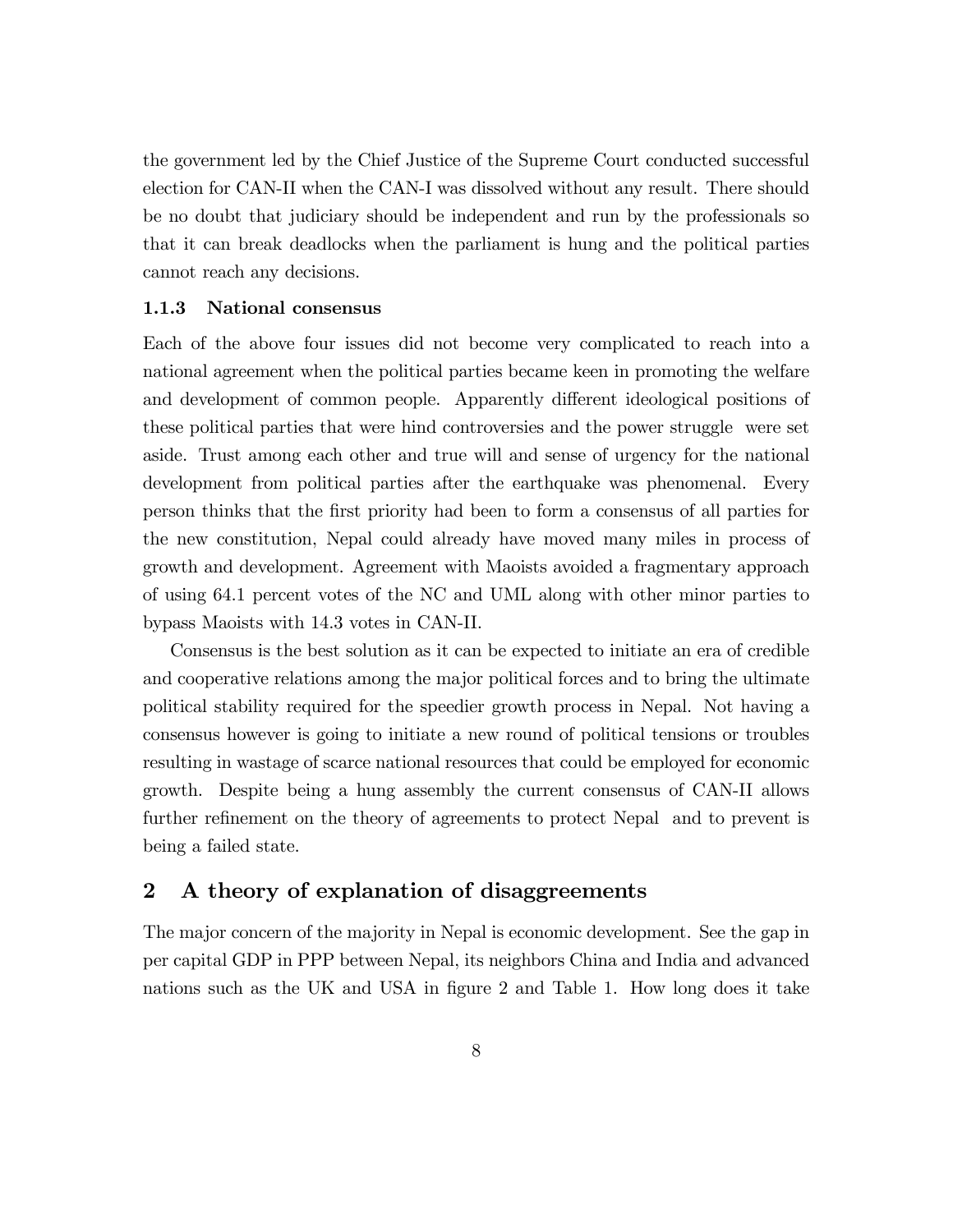the government led by the Chief Justice of the Supreme Court conducted successful election for CAN-II when the CAN-I was dissolved without any result. There should be no doubt that judiciary should be independent and run by the professionals so that it can break deadlocks when the parliament is hung and the political parties cannot reach any decisions.

## 1.1.3 National consensus

Each of the above four issues did not become very complicated to reach into a national agreement when the political parties became keen in promoting the welfare and development of common people. Apparently different ideological positions of these political parties that were hind controversies and the power struggle were set aside. Trust among each other and true will and sense of urgency for the national development from political parties after the earthquake was phenomenal. Every person thinks that the Örst priority had been to form a consensus of all parties for the new constitution, Nepal could already have moved many miles in process of growth and development. Agreement with Maoists avoided a fragmentary approach of using 64.1 percent votes of the NC and UML along with other minor parties to bypass Maoists with 14.3 votes in CAN-II.

Consensus is the best solution as it can be expected to initiate an era of credible and cooperative relations among the major political forces and to bring the ultimate political stability required for the speedier growth process in Nepal. Not having a consensus however is going to initiate a new round of political tensions or troubles resulting in wastage of scarce national resources that could be employed for economic growth. Despite being a hung assembly the current consensus of CAN-II allows further refinement on the theory of agreements to protect Nepal and to prevent is being a failed state.

## 2 A theory of explanation of disaggreements

The major concern of the majority in Nepal is economic development. See the gap in per capital GDP in PPP between Nepal, its neighbors China and India and advanced nations such as the UK and USA in figure 2 and Table 1. How long does it take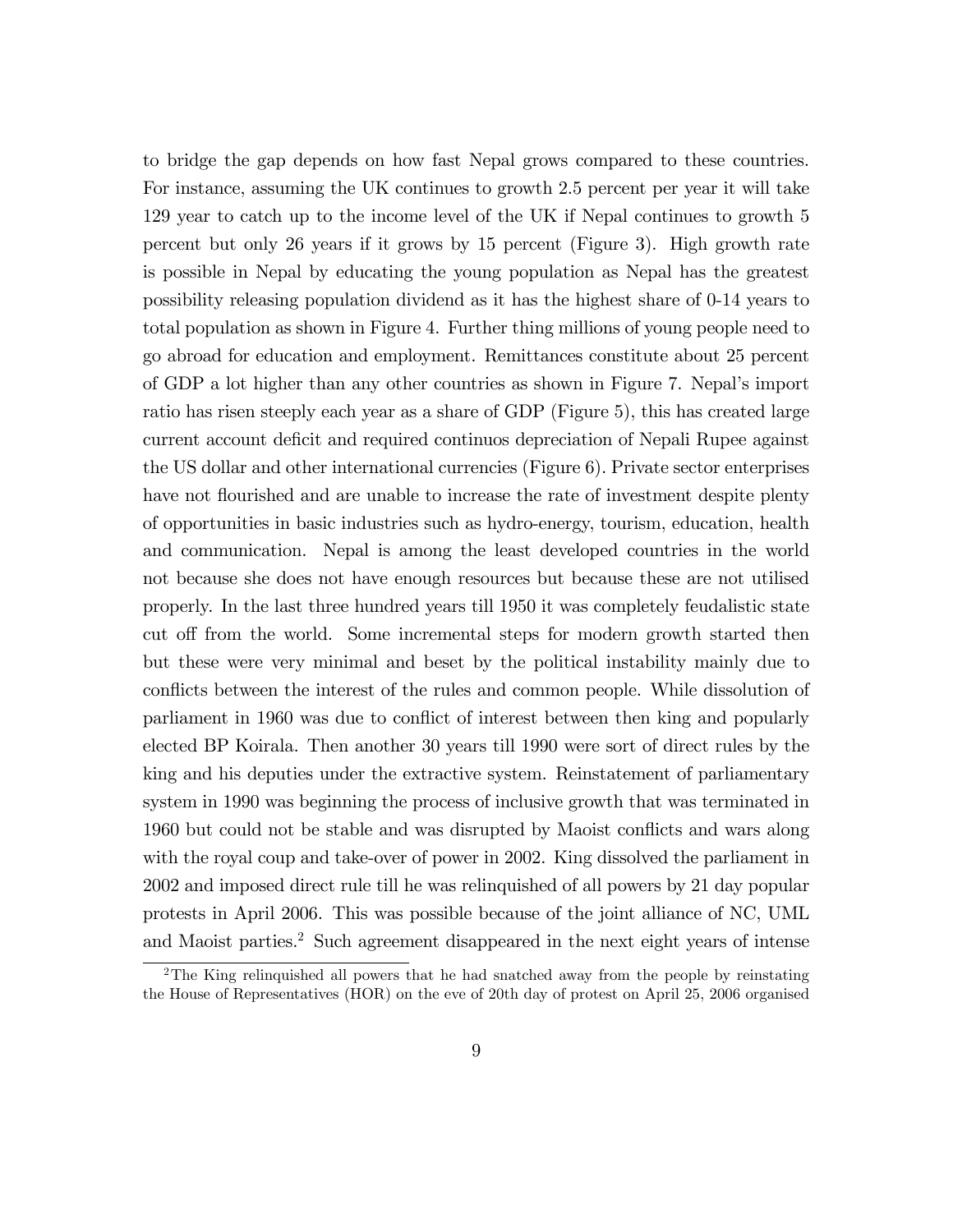to bridge the gap depends on how fast Nepal grows compared to these countries. For instance, assuming the UK continues to growth 2.5 percent per year it will take 129 year to catch up to the income level of the UK if Nepal continues to growth 5 percent but only 26 years if it grows by 15 percent (Figure 3). High growth rate is possible in Nepal by educating the young population as Nepal has the greatest possibility releasing population dividend as it has the highest share of 0-14 years to total population as shown in Figure 4. Further thing millions of young people need to go abroad for education and employment. Remittances constitute about 25 percent of GDP a lot higher than any other countries as shown in Figure 7. Nepalís import ratio has risen steeply each year as a share of GDP (Figure 5), this has created large current account deficit and required continuos depreciation of Nepali Rupee against the US dollar and other international currencies (Figure 6). Private sector enterprises have not flourished and are unable to increase the rate of investment despite plenty of opportunities in basic industries such as hydro-energy, tourism, education, health and communication. Nepal is among the least developed countries in the world not because she does not have enough resources but because these are not utilised properly. In the last three hundred years till 1950 it was completely feudalistic state cut off from the world. Some incremental steps for modern growth started then but these were very minimal and beset by the political instability mainly due to conflicts between the interest of the rules and common people. While dissolution of parliament in 1960 was due to conflict of interest between then king and popularly elected BP Koirala. Then another 30 years till 1990 were sort of direct rules by the king and his deputies under the extractive system. Reinstatement of parliamentary system in 1990 was beginning the process of inclusive growth that was terminated in 1960 but could not be stable and was disrupted by Maoist conflicts and wars along with the royal coup and take-over of power in 2002. King dissolved the parliament in 2002 and imposed direct rule till he was relinquished of all powers by 21 day popular protests in April 2006. This was possible because of the joint alliance of NC, UML and Maoist parties.<sup>2</sup> Such agreement disappeared in the next eight years of intense

<sup>&</sup>lt;sup>2</sup>The King relinquished all powers that he had snatched away from the people by reinstating the House of Representatives (HOR) on the eve of 20th day of protest on April 25, 2006 organised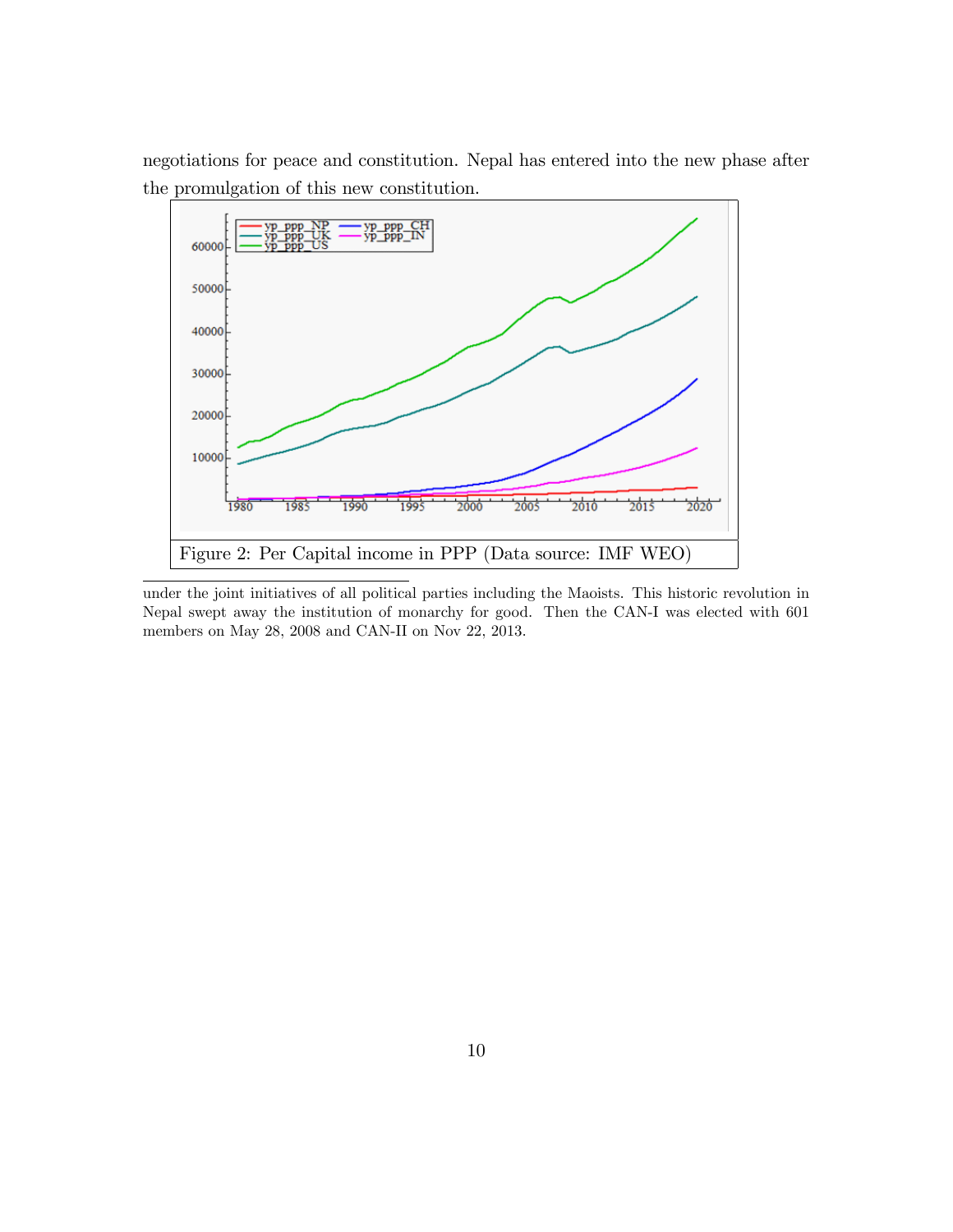negotiations for peace and constitution. Nepal has entered into the new phase after the promulgation of this new constitution.



under the joint initiatives of all political parties including the Maoists. This historic revolution in Nepal swept away the institution of monarchy for good. Then the CAN-I was elected with 601 members on May 28, 2008 and CAN-II on Nov 22, 2013.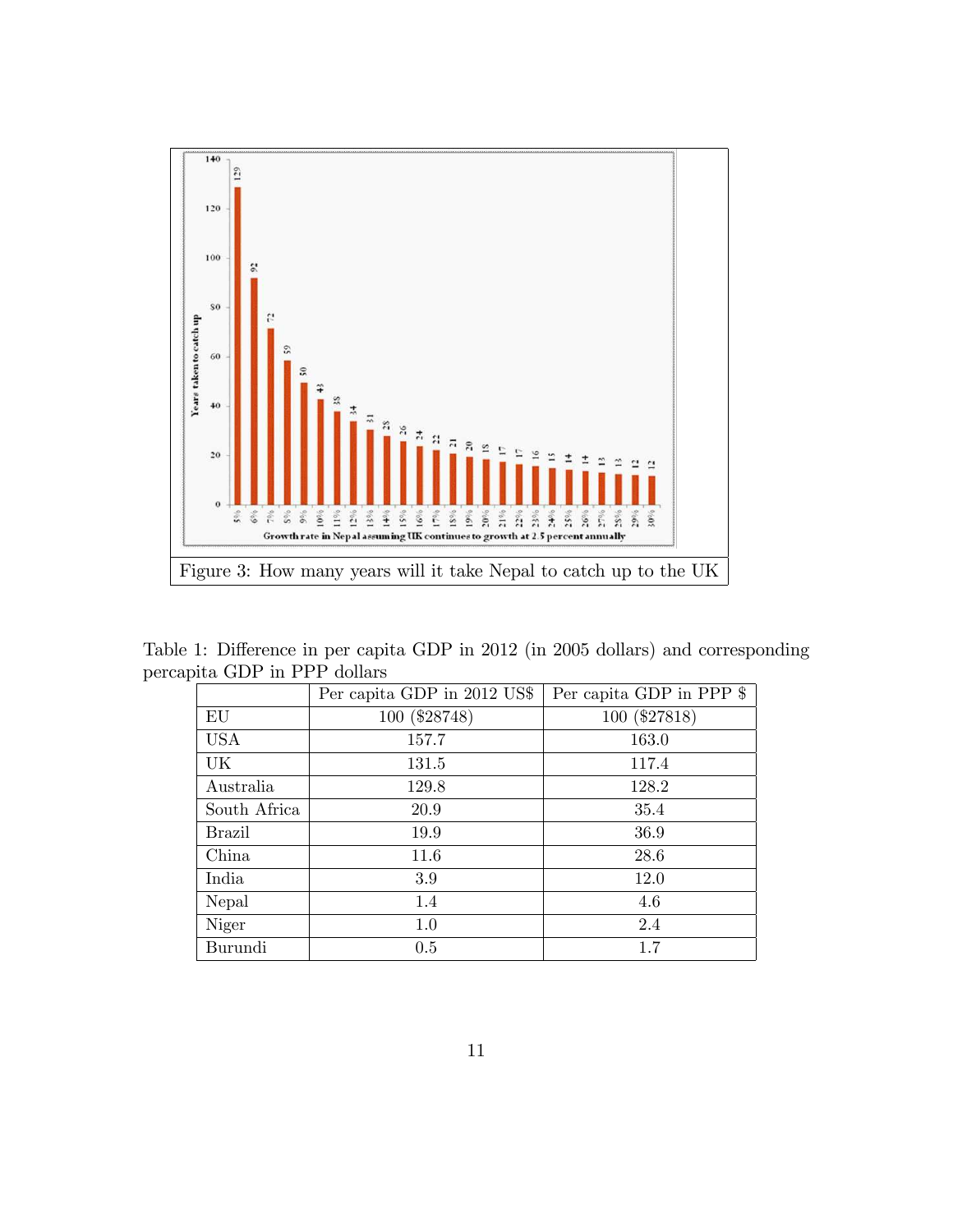

Table 1: Difference in per capita GDP in 2012 (in 2005 dollars) and corresponding percapita GDP in PPP dollars

|              | Per capita GDP in 2012 US\$ | Per capita GDP in PPP \$ |  |  |  |
|--------------|-----------------------------|--------------------------|--|--|--|
| EU           | 100 (\$28748)               | 100 (\$27818)            |  |  |  |
| <b>USA</b>   | 157.7                       | 163.0                    |  |  |  |
| UK           | 131.5                       | 117.4                    |  |  |  |
| Australia    | 129.8                       | 128.2                    |  |  |  |
| South Africa | 20.9                        | 35.4                     |  |  |  |
| Brazil       | 19.9                        | 36.9                     |  |  |  |
| China        | 11.6                        | 28.6                     |  |  |  |
| India        | 3.9                         | 12.0                     |  |  |  |
| Nepal        | 1.4                         | 4.6                      |  |  |  |
| Niger        | 1.0                         | 2.4                      |  |  |  |
| Burundi      | 0.5                         | 1.7                      |  |  |  |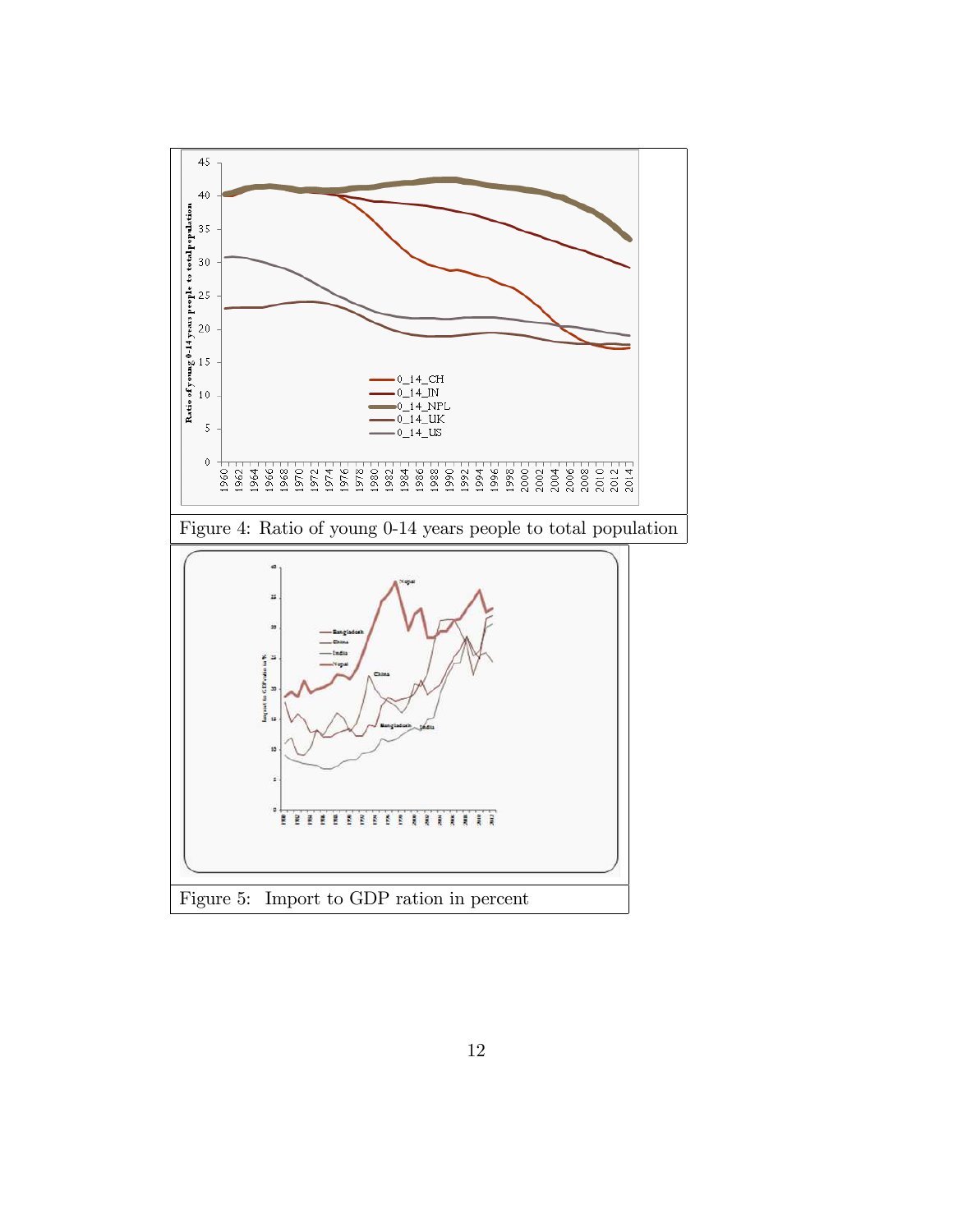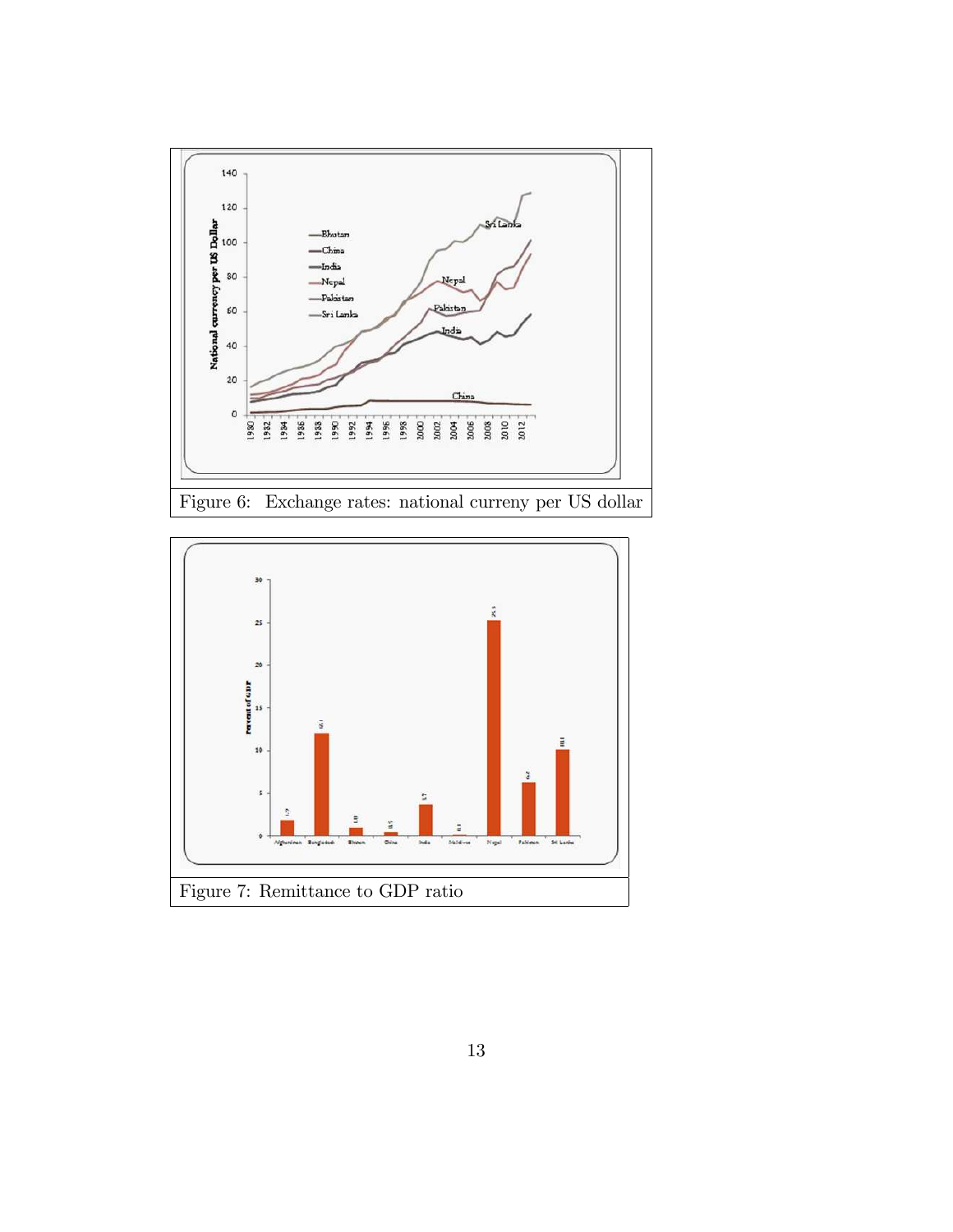

Figure 6: Exchange rates: national curreny per US dollar

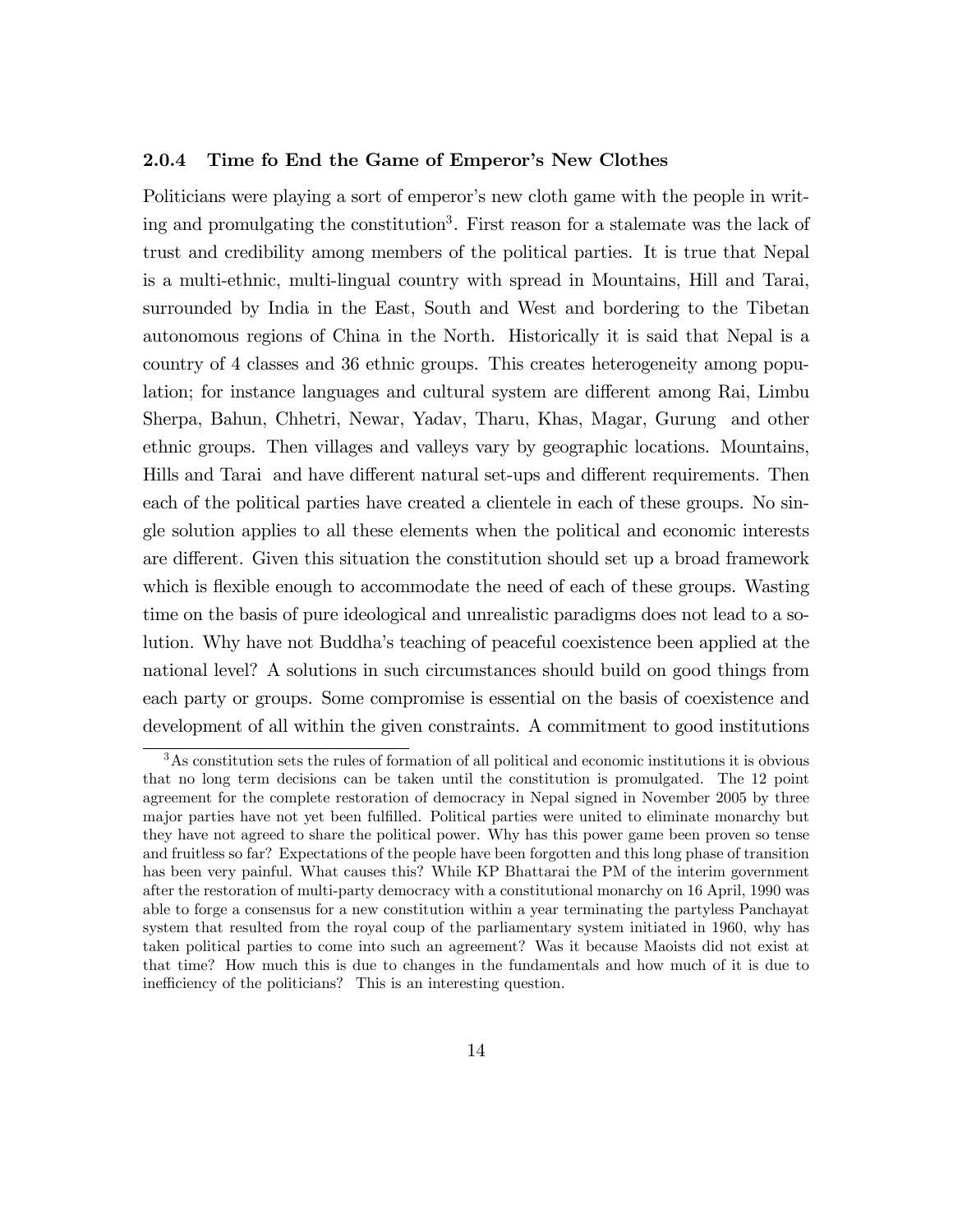#### 2.0.4 Time fo End the Game of Emperor's New Clothes

Politicians were playing a sort of emperor's new cloth game with the people in writing and promulgating the constitution<sup>3</sup>. First reason for a stalemate was the lack of trust and credibility among members of the political parties. It is true that Nepal is a multi-ethnic, multi-lingual country with spread in Mountains, Hill and Tarai, surrounded by India in the East, South and West and bordering to the Tibetan autonomous regions of China in the North. Historically it is said that Nepal is a country of 4 classes and 36 ethnic groups. This creates heterogeneity among population; for instance languages and cultural system are different among Rai, Limbu Sherpa, Bahun, Chhetri, Newar, Yadav, Tharu, Khas, Magar, Gurung and other ethnic groups. Then villages and valleys vary by geographic locations. Mountains, Hills and Tarai and have different natural set-ups and different requirements. Then each of the political parties have created a clientele in each of these groups. No single solution applies to all these elements when the political and economic interests are different. Given this situation the constitution should set up a broad framework which is flexible enough to accommodate the need of each of these groups. Wasting time on the basis of pure ideological and unrealistic paradigms does not lead to a solution. Why have not Buddhaís teaching of peaceful coexistence been applied at the national level? A solutions in such circumstances should build on good things from each party or groups. Some compromise is essential on the basis of coexistence and development of all within the given constraints. A commitment to good institutions

<sup>3</sup>As constitution sets the rules of formation of all political and economic institutions it is obvious that no long term decisions can be taken until the constitution is promulgated. The 12 point agreement for the complete restoration of democracy in Nepal signed in November 2005 by three major parties have not yet been fulfilled. Political parties were united to eliminate monarchy but they have not agreed to share the political power. Why has this power game been proven so tense and fruitless so far? Expectations of the people have been forgotten and this long phase of transition has been very painful. What causes this? While KP Bhattarai the PM of the interim government after the restoration of multi-party democracy with a constitutional monarchy on 16 April, 1990 was able to forge a consensus for a new constitution within a year terminating the partyless Panchayat system that resulted from the royal coup of the parliamentary system initiated in 1960, why has taken political parties to come into such an agreement? Was it because Maoists did not exist at that time? How much this is due to changes in the fundamentals and how much of it is due to inefficiency of the politicians? This is an interesting question.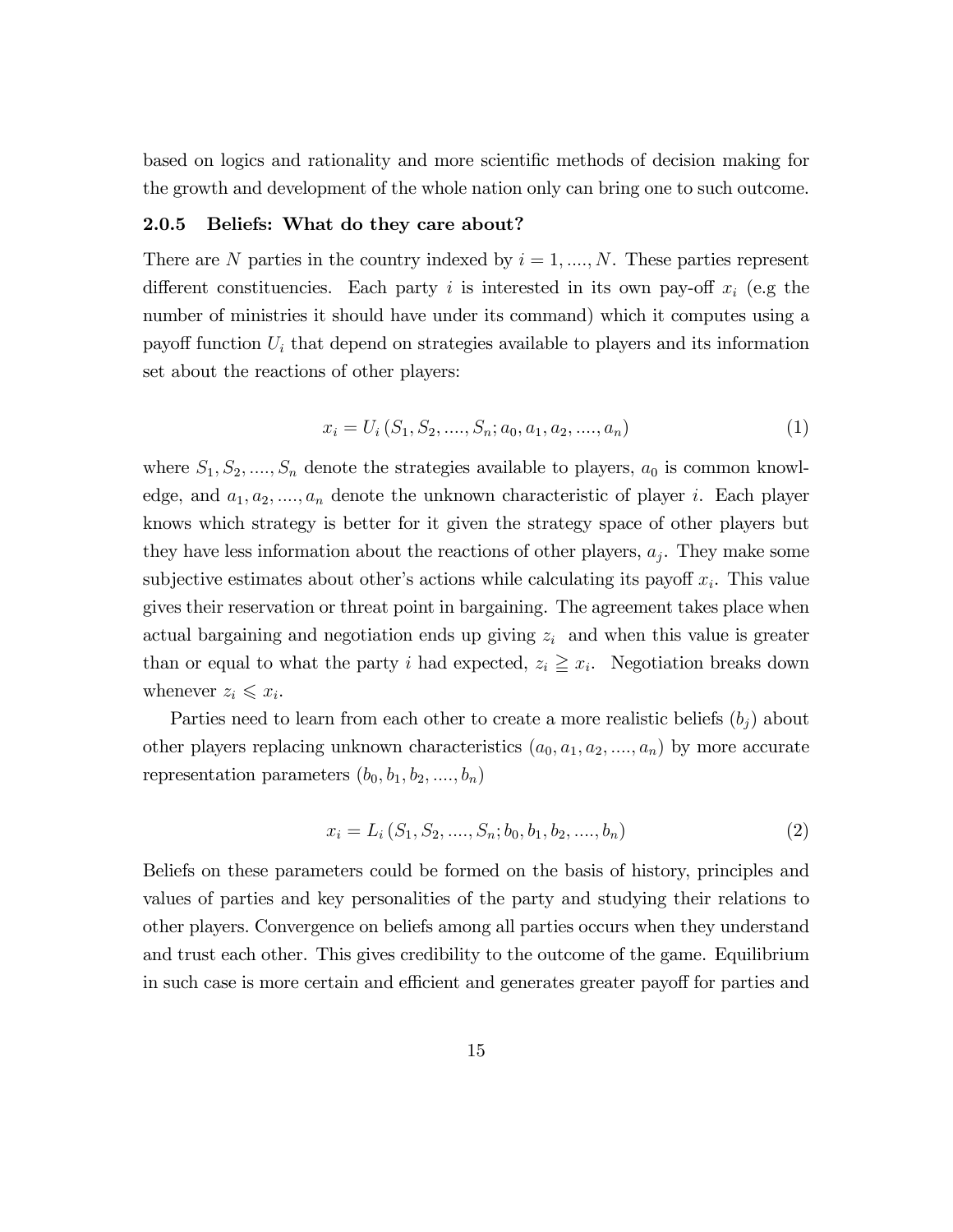based on logics and rationality and more scientific methods of decision making for the growth and development of the whole nation only can bring one to such outcome.

## 2.0.5 Beliefs: What do they care about?

There are N parties in the country indexed by  $i = 1, ..., N$ . These parties represent different constituencies. Each party i is interested in its own pay-off  $x_i$  (e.g the number of ministries it should have under its command) which it computes using a payoff function  $U_i$  that depend on strategies available to players and its information set about the reactions of other players:

$$
x_i = U_i(S_1, S_2, \dots, S_n; a_0, a_1, a_2, \dots, a_n)
$$
\n<sup>(1)</sup>

where  $S_1, S_2, \ldots, S_n$  denote the strategies available to players,  $a_0$  is common knowledge, and  $a_1, a_2, ..., a_n$  denote the unknown characteristic of player i. Each player knows which strategy is better for it given the strategy space of other players but they have less information about the reactions of other players,  $a_j$ . They make some subjective estimates about other's actions while calculating its payoff  $x_i$ . This value gives their reservation or threat point in bargaining. The agreement takes place when actual bargaining and negotiation ends up giving  $z_i$  and when this value is greater than or equal to what the party i had expected,  $z_i \geq x_i$ . Negotiation breaks down whenever  $z_i \leqslant x_i$ .

Parties need to learn from each other to create a more realistic beliefs  $(b_i)$  about other players replacing unknown characteristics  $(a_0, a_1, a_2, \ldots, a_n)$  by more accurate representation parameters  $(b_0, b_1, b_2, \ldots, b_n)$ 

$$
x_i = L_i(S_1, S_2, \dots, S_n; b_0, b_1, b_2, \dots, b_n)
$$
\n
$$
(2)
$$

Beliefs on these parameters could be formed on the basis of history, principles and values of parties and key personalities of the party and studying their relations to other players. Convergence on beliefs among all parties occurs when they understand and trust each other. This gives credibility to the outcome of the game. Equilibrium in such case is more certain and efficient and generates greater payoff for parties and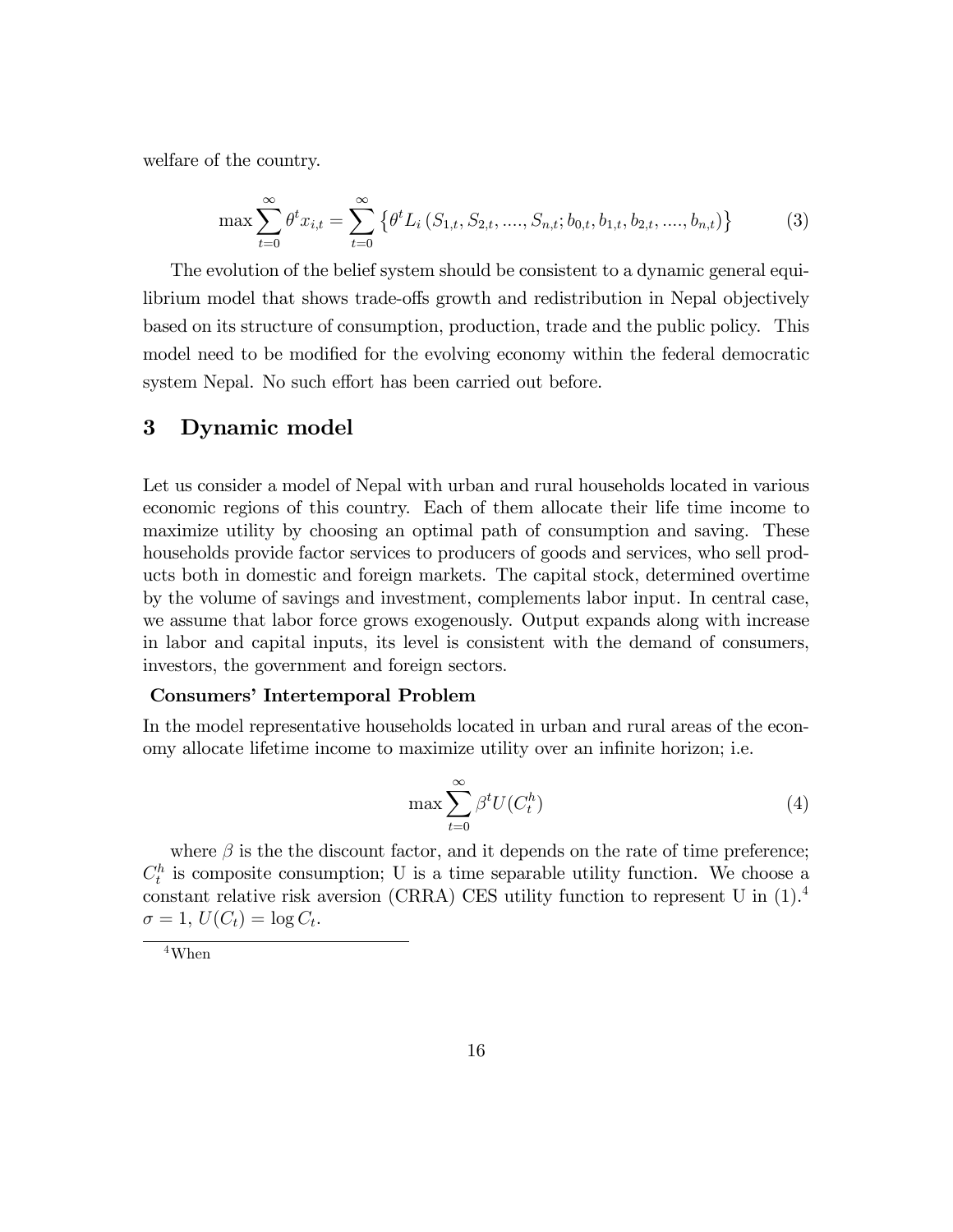welfare of the country.

$$
\max \sum_{t=0}^{\infty} \theta^t x_{i,t} = \sum_{t=0}^{\infty} \left\{ \theta^t L_i \left( S_{1,t}, S_{2,t}, \dots, S_{n,t}; b_{0,t}, b_{1,t}, b_{2,t}, \dots, b_{n,t} \right) \right\} \tag{3}
$$

The evolution of the belief system should be consistent to a dynamic general equilibrium model that shows trade-offs growth and redistribution in Nepal objectively based on its structure of consumption, production, trade and the public policy. This model need to be modified for the evolving economy within the federal democratic system Nepal. No such effort has been carried out before.

## 3 Dynamic model

Let us consider a model of Nepal with urban and rural households located in various economic regions of this country. Each of them allocate their life time income to maximize utility by choosing an optimal path of consumption and saving. These households provide factor services to producers of goods and services, who sell products both in domestic and foreign markets. The capital stock, determined overtime by the volume of savings and investment, complements labor input. In central case, we assume that labor force grows exogenously. Output expands along with increase in labor and capital inputs, its level is consistent with the demand of consumers, investors, the government and foreign sectors.

## Consumers' Intertemporal Problem

In the model representative households located in urban and rural areas of the economy allocate lifetime income to maximize utility over an infinite horizon; i.e.

$$
\max \sum_{t=0}^{\infty} \beta^t U(C_t^h)
$$
\n(4)

where  $\beta$  is the the discount factor, and it depends on the rate of time preference;  $C_t^h$  is composite consumption; U is a time separable utility function. We choose a constant relative risk aversion (CRRA) CES utility function to represent U in (1).<sup>4</sup>  $\sigma = 1, U(C_t) = \log C_t.$ 

<sup>4</sup>When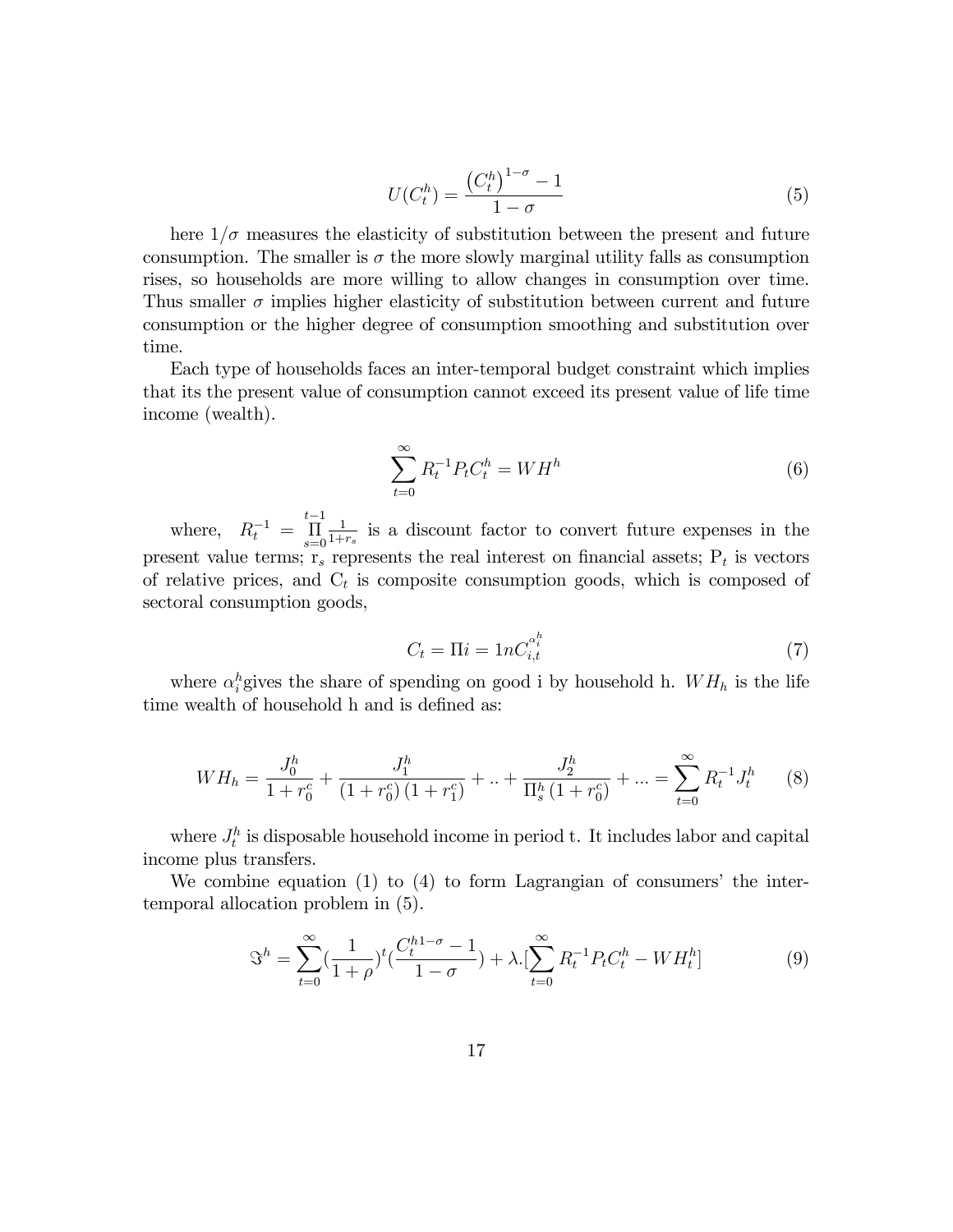$$
U(C_t^h) = \frac{\left(C_t^h\right)^{1-\sigma} - 1}{1-\sigma} \tag{5}
$$

here  $1/\sigma$  measures the elasticity of substitution between the present and future consumption. The smaller is  $\sigma$  the more slowly marginal utility falls as consumption rises, so households are more willing to allow changes in consumption over time. Thus smaller  $\sigma$  implies higher elasticity of substitution between current and future consumption or the higher degree of consumption smoothing and substitution over time.

Each type of households faces an inter-temporal budget constraint which implies that its the present value of consumption cannot exceed its present value of life time income (wealth).

$$
\sum_{t=0}^{\infty} R_t^{-1} P_t C_t^h = W H^h \tag{6}
$$

where,  $R_t^{-1}$  =  $t-1$  $\prod_{s=0}$ 1  $\frac{1}{1+r_s}$  is a discount factor to convert future expenses in the present value terms;  $r_s$  represents the real interest on financial assets;  $P_t$  is vectors of relative prices, and  $C_t$  is composite consumption goods, which is composed of sectoral consumption goods,

$$
C_t = \Pi i = 1nC_{i,t}^{\alpha_i^h} \tag{7}
$$

where  $\alpha_i^h$  gives the share of spending on good i by household h.  $WH_h$  is the life time wealth of household h and is defined as:

$$
WH_h = \frac{J_0^h}{1 + r_0^c} + \frac{J_1^h}{(1 + r_0^c)(1 + r_1^c)} + \ldots + \frac{J_2^h}{\Pi_s^h (1 + r_0^c)} + \ldots = \sum_{t=0}^{\infty} R_t^{-1} J_t^h \tag{8}
$$

where  $J_t^h$  is disposable household income in period t. It includes labor and capital income plus transfers.

We combine equation  $(1)$  to  $(4)$  to form Lagrangian of consumers' the intertemporal allocation problem in (5).

$$
\mathfrak{S}^h = \sum_{t=0}^{\infty} \left(\frac{1}{1+\rho}\right)^t \left(\frac{C_t^{h1-\sigma}-1}{1-\sigma}\right) + \lambda \left[\sum_{t=0}^{\infty} R_t^{-1} P_t C_t^h - W H_t^h\right]
$$
(9)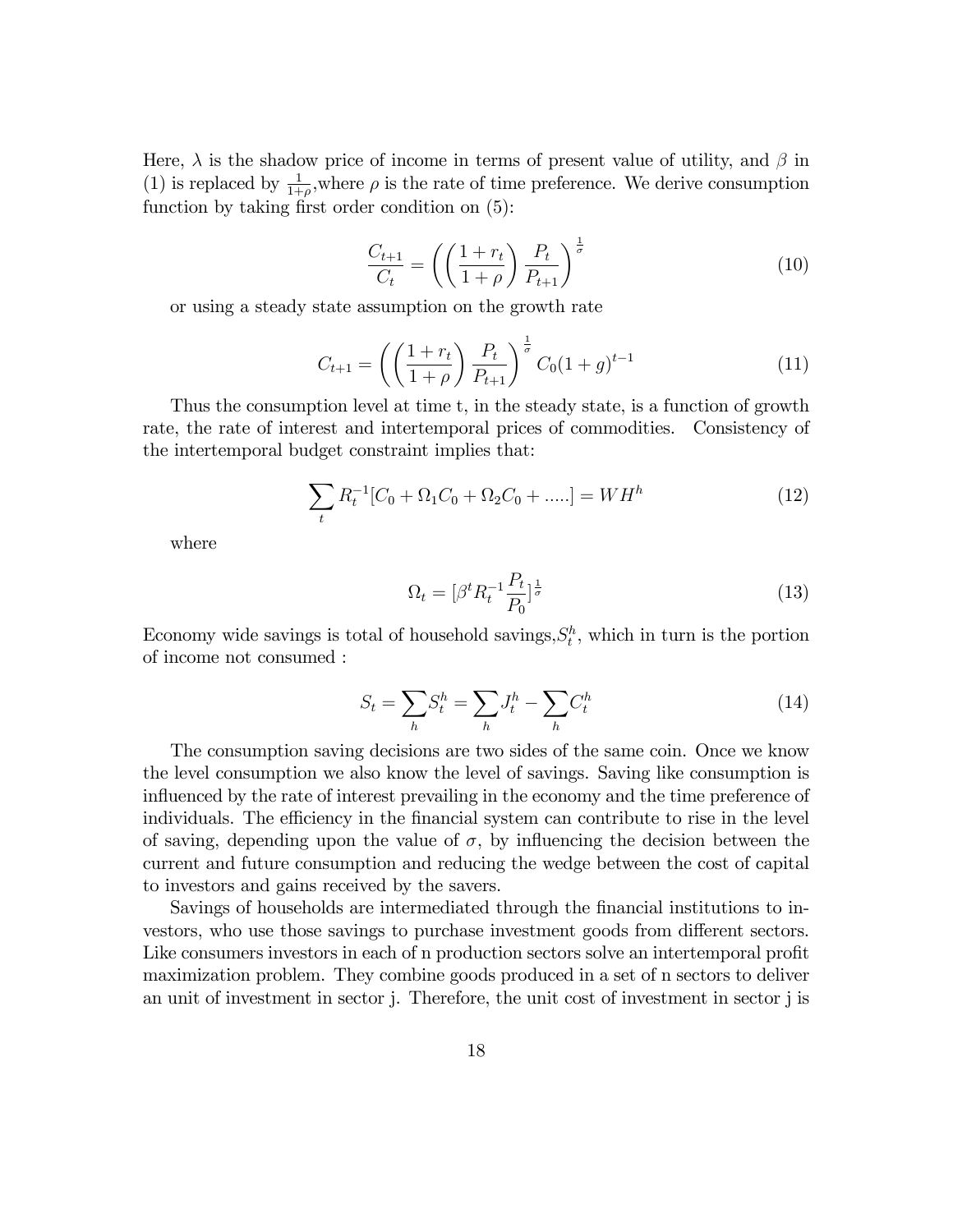Here,  $\lambda$  is the shadow price of income in terms of present value of utility, and  $\beta$  in (1) is replaced by  $\frac{1}{1+\rho}$ , where  $\rho$  is the rate of time preference. We derive consumption function by taking first order condition on  $(5)$ :

$$
\frac{C_{t+1}}{C_t} = \left(\left(\frac{1+r_t}{1+\rho}\right)\frac{P_t}{P_{t+1}}\right)^{\frac{1}{\sigma}}
$$
\n(10)

or using a steady state assumption on the growth rate

$$
C_{t+1} = \left( \left( \frac{1+r_t}{1+\rho} \right) \frac{P_t}{P_{t+1}} \right)^{\frac{1}{\sigma}} C_0 (1+g)^{t-1}
$$
 (11)

Thus the consumption level at time t, in the steady state, is a function of growth rate, the rate of interest and intertemporal prices of commodities. Consistency of the intertemporal budget constraint implies that:

$$
\sum_{t} R_{t}^{-1} [C_{0} + \Omega_{1} C_{0} + \Omega_{2} C_{0} + \dots] = W H^{h}
$$
\n(12)

where

$$
\Omega_t = [\beta^t R_t^{-1} \frac{P_t}{P_0}]^{\frac{1}{\sigma}}
$$
\n(13)

Economy wide savings is total of household savings,  $S_t^h$ , which in turn is the portion of income not consumed :

$$
S_t = \sum_h S_t^h = \sum_h J_t^h - \sum_h C_t^h \tag{14}
$$

The consumption saving decisions are two sides of the same coin. Once we know the level consumption we also know the level of savings. Saving like consumption is influenced by the rate of interest prevailing in the economy and the time preference of individuals. The efficiency in the financial system can contribute to rise in the level of saving, depending upon the value of  $\sigma$ , by influencing the decision between the current and future consumption and reducing the wedge between the cost of capital to investors and gains received by the savers.

Savings of households are intermediated through the Önancial institutions to investors, who use those savings to purchase investment goods from different sectors. Like consumers investors in each of n production sectors solve an intertemporal profit maximization problem. They combine goods produced in a set of n sectors to deliver an unit of investment in sector j. Therefore, the unit cost of investment in sector j is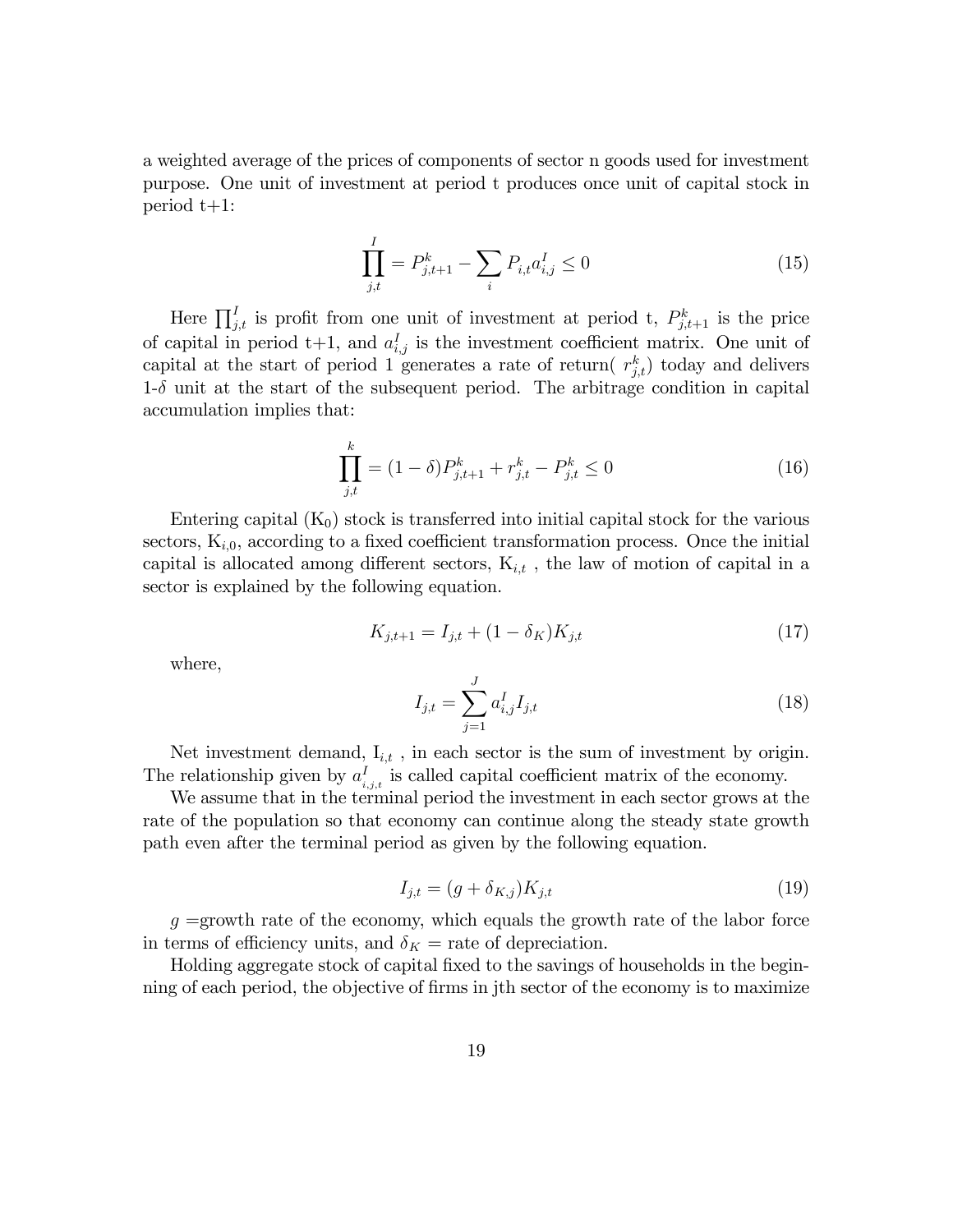a weighted average of the prices of components of sector n goods used for investment purpose. One unit of investment at period t produces once unit of capital stock in period t+1:

$$
\prod_{j,t}^{I} = P_{j,t+1}^{k} - \sum_{i} P_{i,t} a_{i,j}^{I} \le 0
$$
\n(15)

Here  $\prod_{j,t}^{I}$  is profit from one unit of investment at period t,  $P_{j,t+1}^{k}$  is the price of capital in period  $t+1$ , and  $a_{i,j}^I$  is the investment coefficient matrix. One unit of capital at the start of period 1 generates a rate of return( $r_{j,t}^k$ ) today and delivers  $1-\delta$  unit at the start of the subsequent period. The arbitrage condition in capital accumulation implies that:

$$
\prod_{j,t}^{k} = (1 - \delta)P_{j,t+1}^{k} + r_{j,t}^{k} - P_{j,t}^{k} \le 0
$$
\n(16)

Entering capital  $(K_0)$  stock is transferred into initial capital stock for the various sectors,  $K_{i,0}$ , according to a fixed coefficient transformation process. Once the initial capital is allocated among different sectors,  $K_{i,t}$ , the law of motion of capital in a sector is explained by the following equation.

$$
K_{j,t+1} = I_{j,t} + (1 - \delta_K)K_{j,t} \tag{17}
$$

where,

$$
I_{j,t} = \sum_{j=1}^{J} a_{i,j}^{I} I_{j,t}
$$
\n(18)

Net investment demand,  $I_{i,t}$ , in each sector is the sum of investment by origin. The relationship given by  $a_i^I$  $i_{i,j,t}$  is called capital coefficient matrix of the economy.

We assume that in the terminal period the investment in each sector grows at the rate of the population so that economy can continue along the steady state growth path even after the terminal period as given by the following equation.

$$
I_{j,t} = (g + \delta_{K,j})K_{j,t} \tag{19}
$$

 $g =$ growth rate of the economy, which equals the growth rate of the labor force in terms of efficiency units, and  $\delta_K$  = rate of depreciation.

Holding aggregate stock of capital fixed to the savings of households in the beginning of each period, the objective of firms in jth sector of the economy is to maximize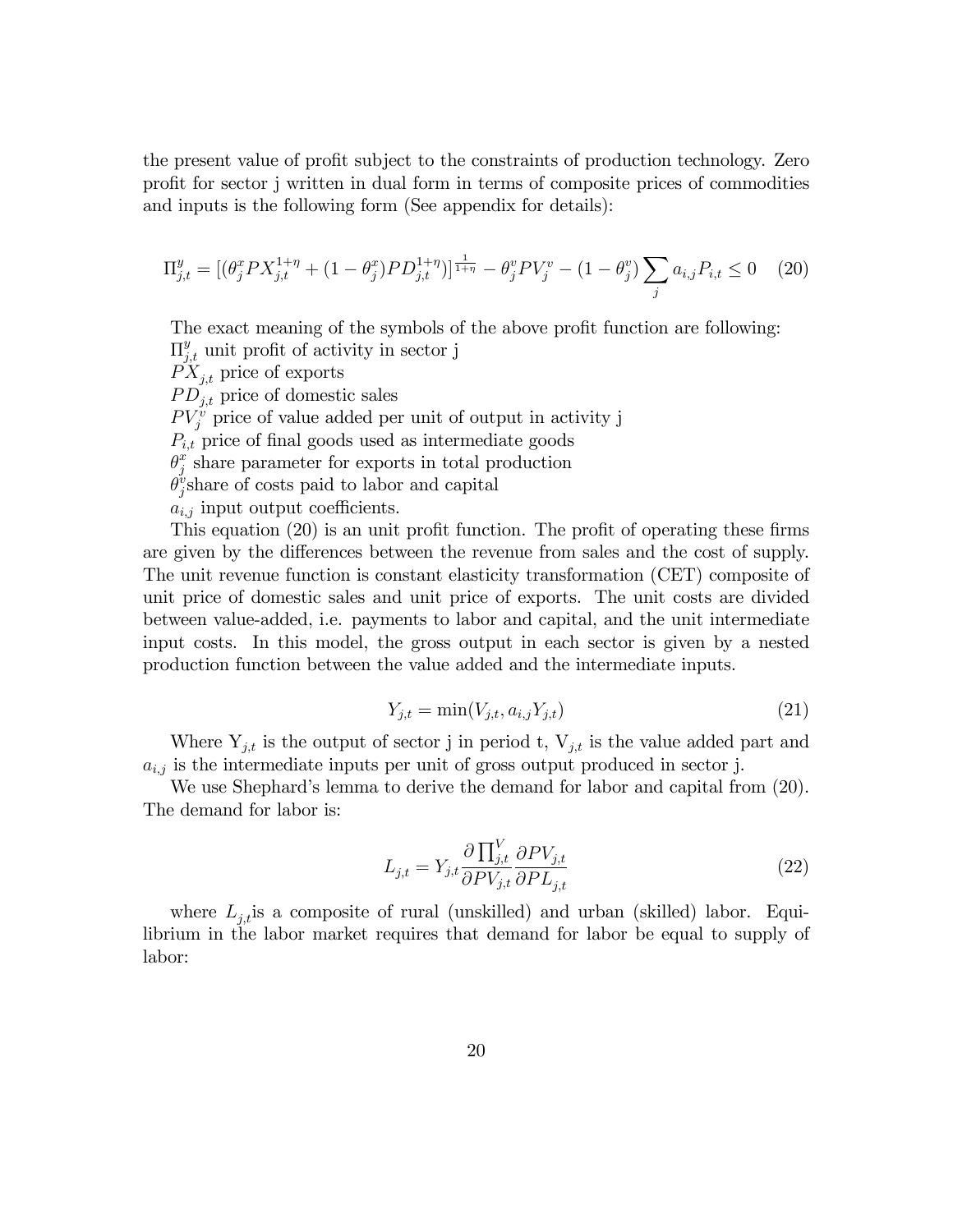the present value of profit subject to the constraints of production technology. Zero profit for sector j written in dual form in terms of composite prices of commodities and inputs is the following form (See appendix for details):

$$
\Pi_{j,t}^{y} = \left[ (\theta_j^x P X_{j,t}^{1+\eta} + (1 - \theta_j^x) P D_{j,t}^{1+\eta}) \right]_{\frac{1}{1+\eta}}^{\frac{1}{1+\eta}} - \theta_j^y P V_j^v - (1 - \theta_j^y) \sum_j a_{i,j} P_{i,t} \le 0 \tag{20}
$$

The exact meaning of the symbols of the above profit function are following:  $\Pi_{j,t}^y$  unit profit of activity in sector j

 $PX_{i,t}$  price of exports  $PD_{i,t}$  price of domestic sales  $PV_j^v$  price of value added per unit of output in activity j  $P_{i,t}$  price of final goods used as intermediate goods  $\theta_i^x$  $_j^x$  share parameter for exports in total production  $\check{\theta}^v_i$  $_{j}^{\nu}$ share of costs paid to labor and capital  $a_{i,j}$  input output coefficients.

This equation  $(20)$  is an unit profit function. The profit of operating these firms are given by the differences between the revenue from sales and the cost of supply. The unit revenue function is constant elasticity transformation (CET) composite of unit price of domestic sales and unit price of exports. The unit costs are divided between value-added, i.e. payments to labor and capital, and the unit intermediate input costs. In this model, the gross output in each sector is given by a nested production function between the value added and the intermediate inputs.

$$
Y_{j,t} = \min(V_{j,t}, a_{i,j} Y_{j,t})
$$
\n(21)

Where  $Y_{j,t}$  is the output of sector j in period t,  $V_{j,t}$  is the value added part and  $a_{i,j}$  is the intermediate inputs per unit of gross output produced in sector j.

We use Shephard's lemma to derive the demand for labor and capital from (20). The demand for labor is:

$$
L_{j,t} = Y_{j,t} \frac{\partial \prod_{j,t}^{V} \partial P V_{j,t}}{\partial P V_{j,t} \partial P L_{j,t}}
$$
\n(22)

where  $L_{j,t}$  is a composite of rural (unskilled) and urban (skilled) labor. Equilibrium in the labor market requires that demand for labor be equal to supply of labor: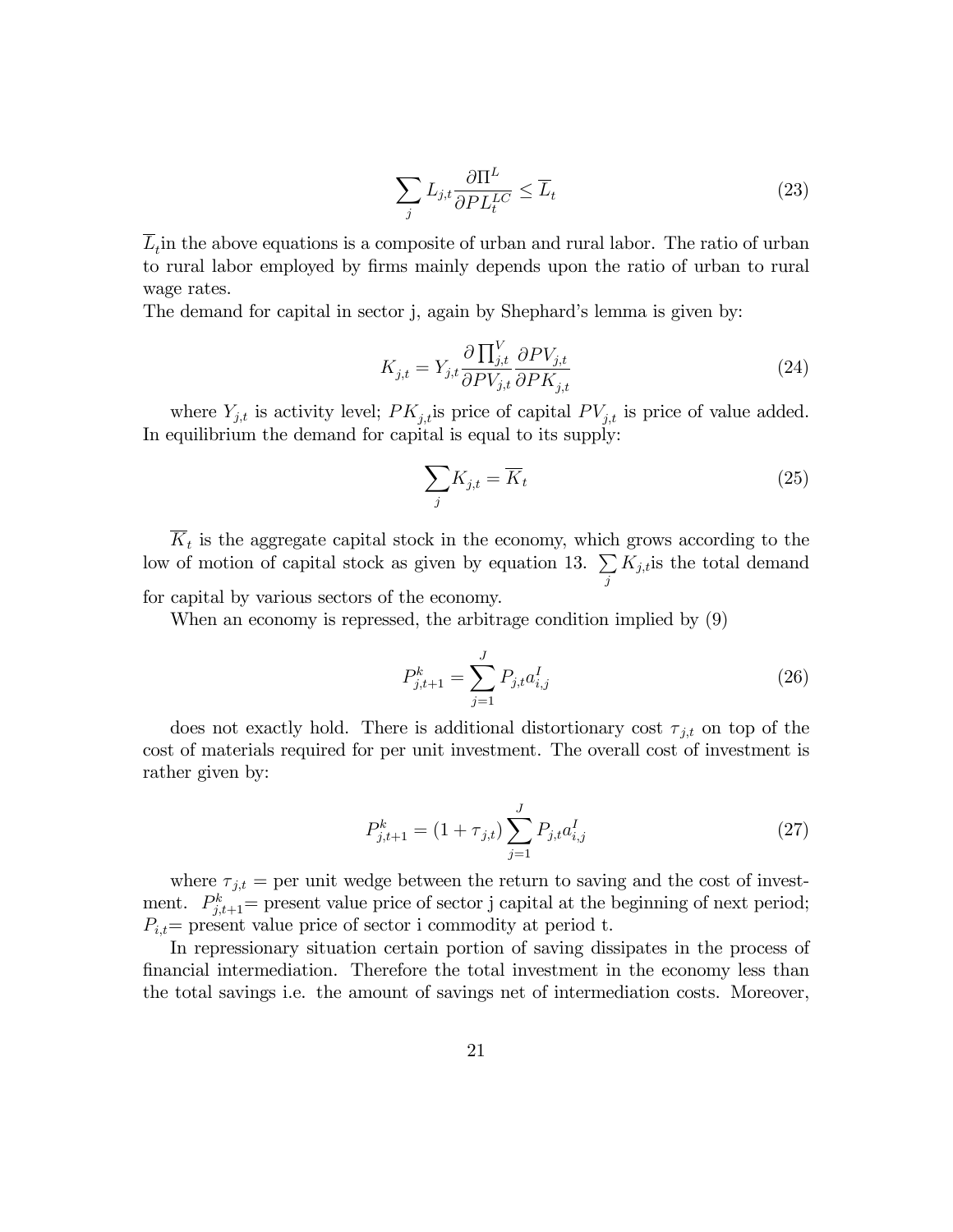$$
\sum_{j} L_{j,t} \frac{\partial \Pi^L}{\partial PL_t^{LC}} \le \overline{L}_t
$$
\n(23)

 $L_t$  in the above equations is a composite of urban and rural labor. The ratio of urban to rural labor employed by Örms mainly depends upon the ratio of urban to rural wage rates.

The demand for capital in sector j, again by Shephard's lemma is given by:

$$
K_{j,t} = Y_{j,t} \frac{\partial \prod_{j,t}^{V} \partial PV_{j,t}}{\partial PV_{j,t}} \frac{\partial PV_{j,t}}{\partial PK_{j,t}}
$$
\n(24)

where  $Y_{j,t}$  is activity level;  $PK_{j,t}$  is price of capital  $PV_{j,t}$  is price of value added. In equilibrium the demand for capital is equal to its supply:

$$
\sum_{j} K_{j,t} = \overline{K}_t \tag{25}
$$

 $K_t$  is the aggregate capital stock in the economy, which grows according to the low of motion of capital stock as given by equation 13.  $\Sigma$ j  $K_{j,t}$  is the total demand for capital by various sectors of the economy.

When an economy is repressed, the arbitrage condition implied by (9)

$$
P_{j,t+1}^k = \sum_{j=1}^J P_{j,t} a_{i,j}^I
$$
 (26)

does not exactly hold. There is additional distortionary cost  $\tau_{j,t}$  on top of the cost of materials required for per unit investment. The overall cost of investment is rather given by:

$$
P_{j,t+1}^k = (1 + \tau_{j,t}) \sum_{j=1}^J P_{j,t} a_{i,j}^I
$$
 (27)

where  $\tau_{j,t}$  = per unit wedge between the return to saving and the cost of investment.  $P_{j,t+1}^k$  = present value price of sector j capital at the beginning of next period;  $P_{i,t}$  present value price of sector i commodity at period t.

In repressionary situation certain portion of saving dissipates in the process of Önancial intermediation. Therefore the total investment in the economy less than the total savings i.e. the amount of savings net of intermediation costs. Moreover,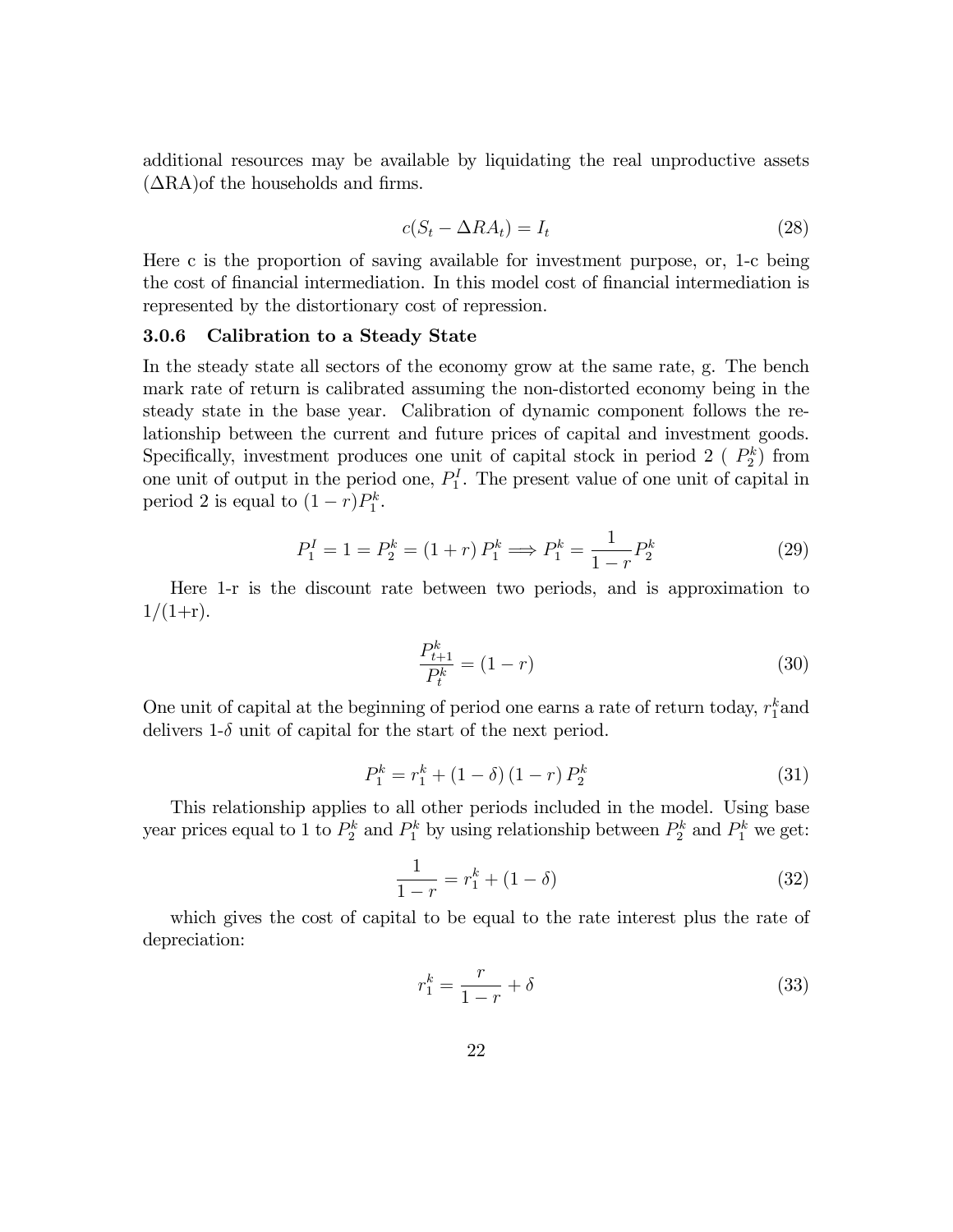additional resources may be available by liquidating the real unproductive assets  $(ARA)$ of the households and firms.

$$
c(S_t - \Delta R A_t) = I_t \tag{28}
$$

Here c is the proportion of saving available for investment purpose, or, 1-c being the cost of financial intermediation. In this model cost of financial intermediation is represented by the distortionary cost of repression.

## 3.0.6 Calibration to a Steady State

In the steady state all sectors of the economy grow at the same rate, g. The bench mark rate of return is calibrated assuming the non-distorted economy being in the steady state in the base year. Calibration of dynamic component follows the relationship between the current and future prices of capital and investment goods. Specifically, investment produces one unit of capital stock in period 2 ( $P_2^k$ ) from one unit of output in the period one,  $P_1^I$ . The present value of one unit of capital in period 2 is equal to  $(1 - r)P_1^k$ .

$$
P_1^I = 1 = P_2^k = (1+r) P_1^k \Longrightarrow P_1^k = \frac{1}{1-r} P_2^k \tag{29}
$$

Here 1-r is the discount rate between two periods, and is approximation to  $1/(1+r)$ .

$$
\frac{P_{t+1}^k}{P_t^k} = (1 - r) \tag{30}
$$

One unit of capital at the beginning of period one earns a rate of return today,  $r_1^k$  and delivers 1- $\delta$  unit of capital for the start of the next period.

$$
P_1^k = r_1^k + (1 - \delta)(1 - r) P_2^k \tag{31}
$$

This relationship applies to all other periods included in the model. Using base year prices equal to 1 to  $P_2^k$  and  $P_1^k$  by using relationship between  $P_2^k$  and  $P_1^k$  we get:

$$
\frac{1}{1-r} = r_1^k + (1 - \delta) \tag{32}
$$

which gives the cost of capital to be equal to the rate interest plus the rate of depreciation:

$$
r_1^k = \frac{r}{1-r} + \delta \tag{33}
$$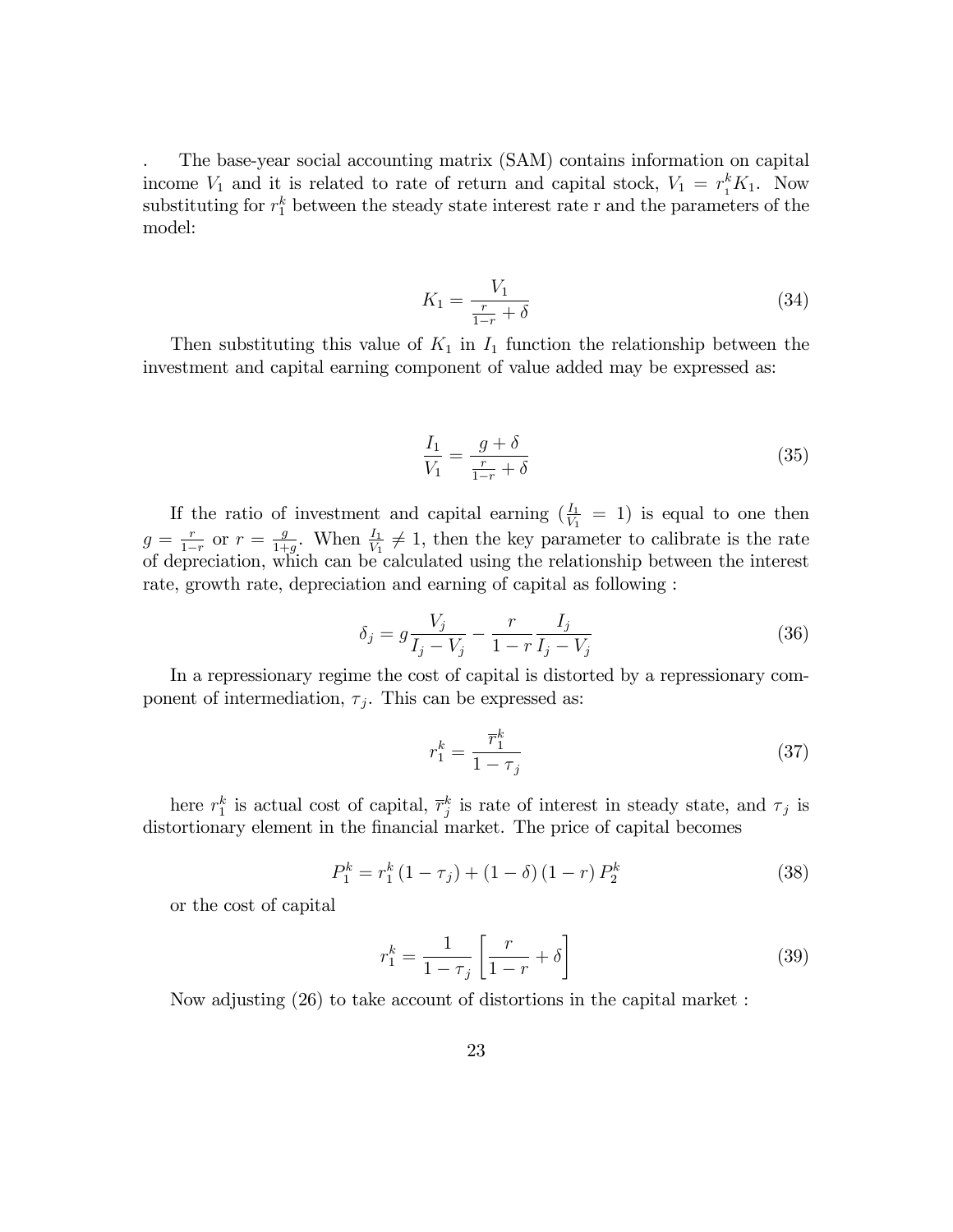. The base-year social accounting matrix (SAM) contains information on capital income  $V_1$  and it is related to rate of return and capital stock,  $V_1 = r_1^k K_1$ . Now substituting for  $r_1^k$  between the steady state interest rate r and the parameters of the model:

$$
K_1 = \frac{V_1}{\frac{r}{1-r} + \delta} \tag{34}
$$

Then substituting this value of  $K_1$  in  $I_1$  function the relationship between the investment and capital earning component of value added may be expressed as:

$$
\frac{I_1}{V_1} = \frac{g + \delta}{\frac{r}{1 - r} + \delta} \tag{35}
$$

If the ratio of investment and capital earning  $(\frac{I_1}{V_1} = 1)$  is equal to one then  $g = \frac{r}{1-r}$  or  $r = \frac{g}{1+r}$  $\frac{g}{1+g}$ . When  $\frac{I_1}{V_1} \neq 1$ , then the key parameter to calibrate is the rate of depreciation, which can be calculated using the relationship between the interest rate, growth rate, depreciation and earning of capital as following :

$$
\delta_j = g \frac{V_j}{I_j - V_j} - \frac{r}{1 - r} \frac{I_j}{I_j - V_j} \tag{36}
$$

In a repressionary regime the cost of capital is distorted by a repressionary component of intermediation,  $\tau_j$ . This can be expressed as:

$$
r_1^k = \frac{\overline{r}_1^k}{1 - \tau_j} \tag{37}
$$

here  $r_1^k$  is actual cost of capital,  $\overline{r}_j^k$  is rate of interest in steady state, and  $\tau_j$  is distortionary element in the financial market. The price of capital becomes

$$
P_1^k = r_1^k (1 - \tau_j) + (1 - \delta) (1 - r) P_2^k \tag{38}
$$

or the cost of capital

$$
r_1^k = \frac{1}{1 - \tau_j} \left[ \frac{r}{1 - r} + \delta \right] \tag{39}
$$

Now adjusting (26) to take account of distortions in the capital market :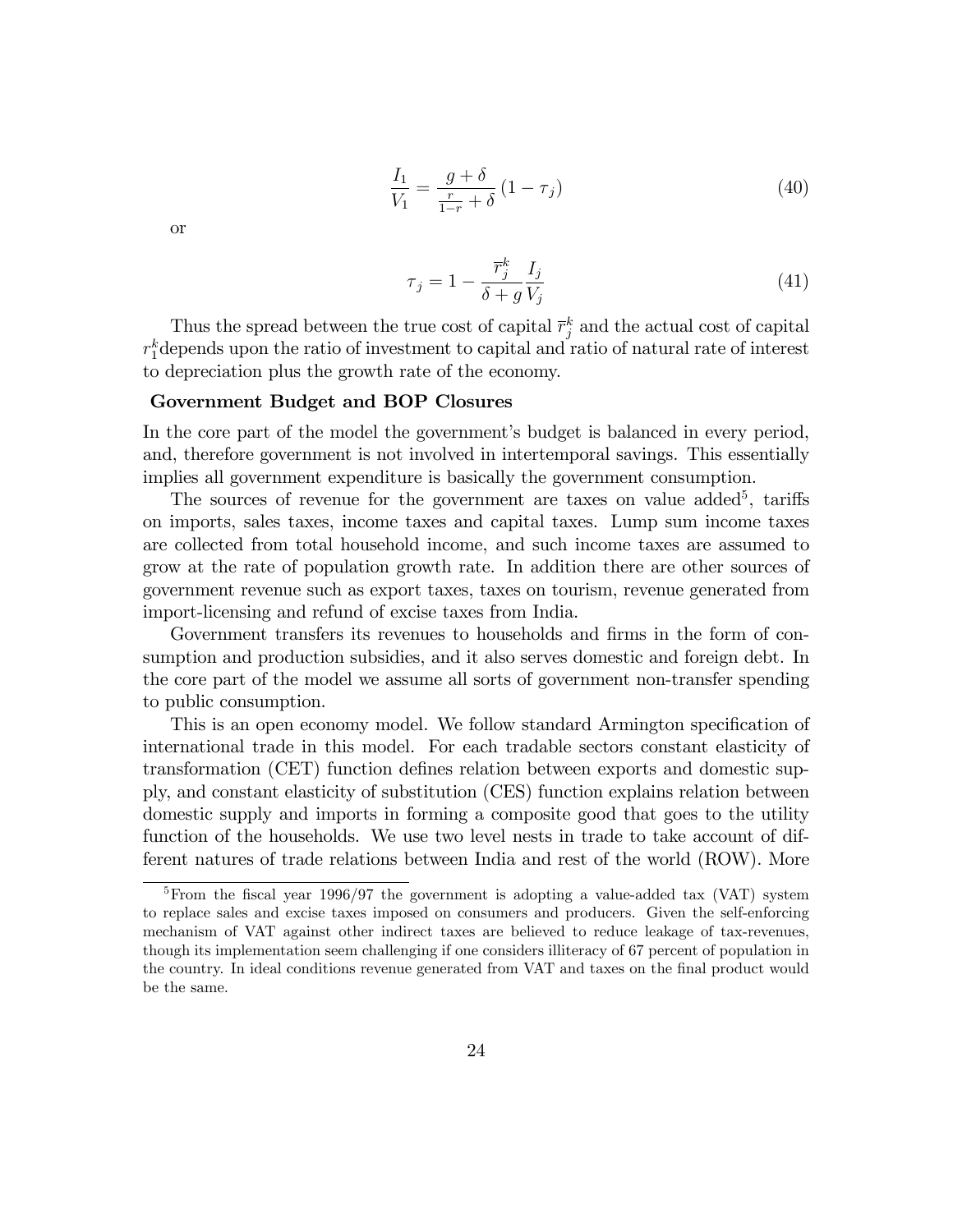$$
\frac{I_1}{V_1} = \frac{g + \delta}{\frac{r}{1 - r} + \delta} (1 - \tau_j)
$$
\n(40)

or

$$
\tau_j = 1 - \frac{\overline{r}_j^k}{\delta + g} \frac{I_j}{V_j} \tag{41}
$$

Thus the spread between the true cost of capital  $\overline{r}_j^k$  and the actual cost of capital  $r_1^k$ depends upon the ratio of investment to capital and ratio of natural rate of interest to depreciation plus the growth rate of the economy.

#### Government Budget and BOP Closures

In the core part of the model the government's budget is balanced in every period, and, therefore government is not involved in intertemporal savings. This essentially implies all government expenditure is basically the government consumption.

The sources of revenue for the government are taxes on value added<sup>5</sup>, tariffs on imports, sales taxes, income taxes and capital taxes. Lump sum income taxes are collected from total household income, and such income taxes are assumed to grow at the rate of population growth rate. In addition there are other sources of government revenue such as export taxes, taxes on tourism, revenue generated from import-licensing and refund of excise taxes from India.

Government transfers its revenues to households and firms in the form of consumption and production subsidies, and it also serves domestic and foreign debt. In the core part of the model we assume all sorts of government non-transfer spending to public consumption.

This is an open economy model. We follow standard Armington specification of international trade in this model. For each tradable sectors constant elasticity of transformation (CET) function defines relation between exports and domestic supply, and constant elasticity of substitution (CES) function explains relation between domestic supply and imports in forming a composite good that goes to the utility function of the households. We use two level nests in trade to take account of different natures of trade relations between India and rest of the world (ROW). More

<sup>&</sup>lt;sup>5</sup>From the fiscal year 1996/97 the government is adopting a value-added tax (VAT) system to replace sales and excise taxes imposed on consumers and producers. Given the self-enforcing mechanism of VAT against other indirect taxes are believed to reduce leakage of tax-revenues, though its implementation seem challenging if one considers illiteracy of 67 percent of population in the country. In ideal conditions revenue generated from VAT and taxes on the Önal product would be the same.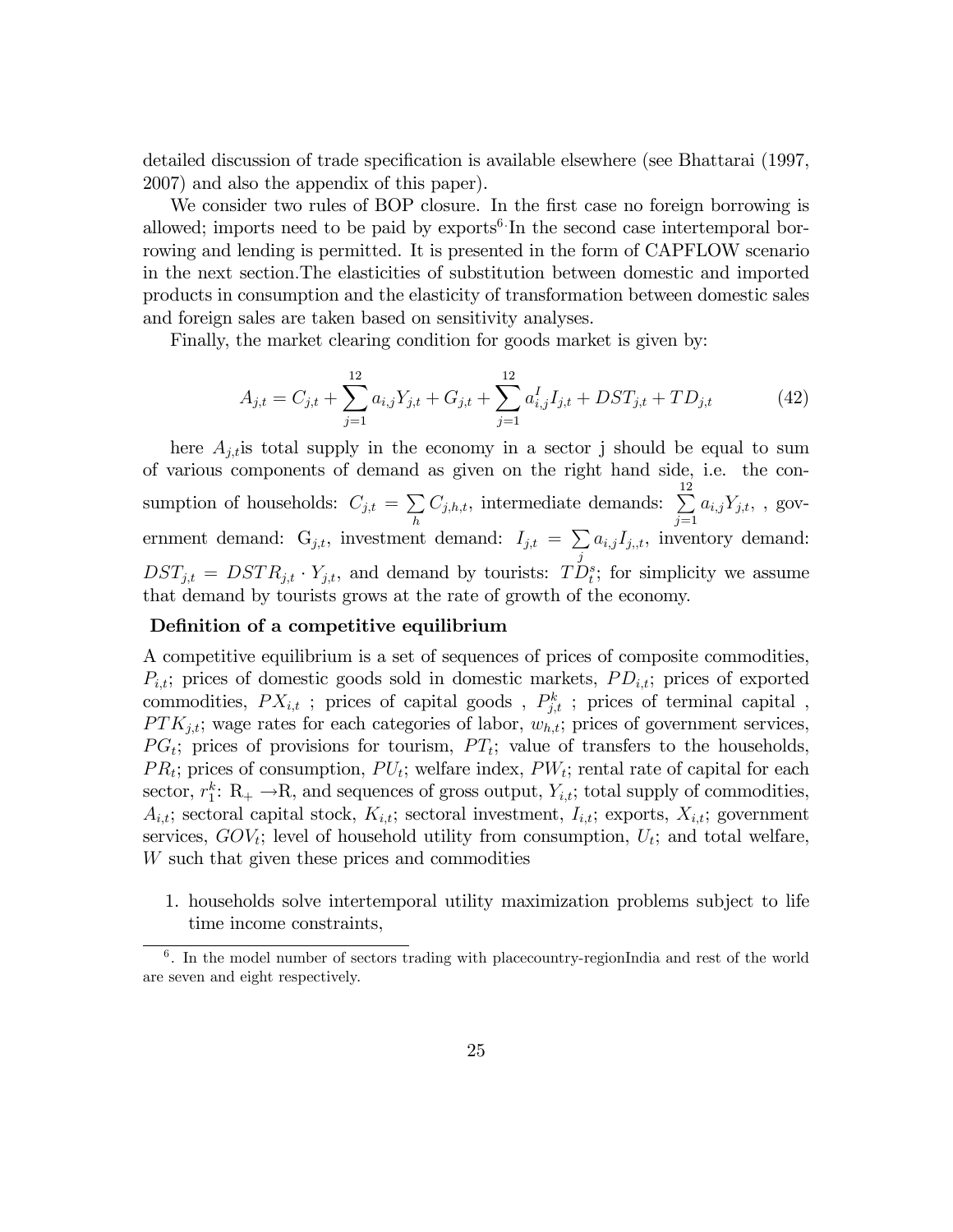detailed discussion of trade specification is available elsewhere (see Bhattarai (1997, 2007) and also the appendix of this paper).

We consider two rules of BOP closure. In the first case no foreign borrowing is allowed; imports need to be paid by  $\exp \left( \frac{\pi}{6} \cdot \ln \right)$  the second case intertemporal borrowing and lending is permitted. It is presented in the form of CAPFLOW scenario in the next section:The elasticities of substitution between domestic and imported products in consumption and the elasticity of transformation between domestic sales and foreign sales are taken based on sensitivity analyses.

Finally, the market clearing condition for goods market is given by:

$$
A_{j,t} = C_{j,t} + \sum_{j=1}^{12} a_{i,j} Y_{j,t} + G_{j,t} + \sum_{j=1}^{12} a_{i,j}^I I_{j,t} + DST_{j,t} + TD_{j,t}
$$
 (42)

here  $A_{j,t}$  is total supply in the economy in a sector j should be equal to sum of various components of demand as given on the right hand side, i.e. the consumption of households:  $C_{j,t} = \sum$ h  $C_{j,h,t}$ , intermediate demands:  $\sum_{n=1}^{12}$  $j=1$  $a_{i,j}Y_{j,t},$ , government demand:  $G_{j,t}$ , investment demand:  $I_{j,t} = \sum$ j  $a_{i,j}I_{j,t}$ , inventory demand:  $DST_{j,t} = DSTR_{j,t} \cdot Y_{j,t}$ , and demand by tourists:  $TD_t^s$ ; for simplicity we assume that demand by tourists grows at the rate of growth of the economy.

#### Definition of a competitive equilibrium

A competitive equilibrium is a set of sequences of prices of composite commodities,  $P_{i,t}$ ; prices of domestic goods sold in domestic markets,  $PD_{i,t}$ ; prices of exported commodities,  $PX_{i,t}$ ; prices of capital goods,  $P_{j,t}^k$ ; prices of terminal capital,  $PTK_{j,t}$ ; wage rates for each categories of labor,  $w_{h,t}$ ; prices of government services,  $PG<sub>t</sub>$ ; prices of provisions for tourism,  $PT<sub>t</sub>$ ; value of transfers to the households,  $PR_t$ ; prices of consumption,  $PU_t$ ; welfare index,  $PW_t$ ; rental rate of capital for each sector,  $r_1^k$ : R<sub>+</sub>  $\rightarrow$ R, and sequences of gross output,  $Y_{i,t}$ ; total supply of commodities,  $A_{i,t}$ ; sectoral capital stock,  $K_{i,t}$ ; sectoral investment,  $I_{i,t}$ ; exports,  $X_{i,t}$ ; government services,  $GOV_t$ ; level of household utility from consumption,  $U_t$ ; and total welfare, W such that given these prices and commodities

1. households solve intertemporal utility maximization problems subject to life time income constraints,

<sup>&</sup>lt;sup>6</sup>. In the model number of sectors trading with placecountry-regionIndia and rest of the world are seven and eight respectively.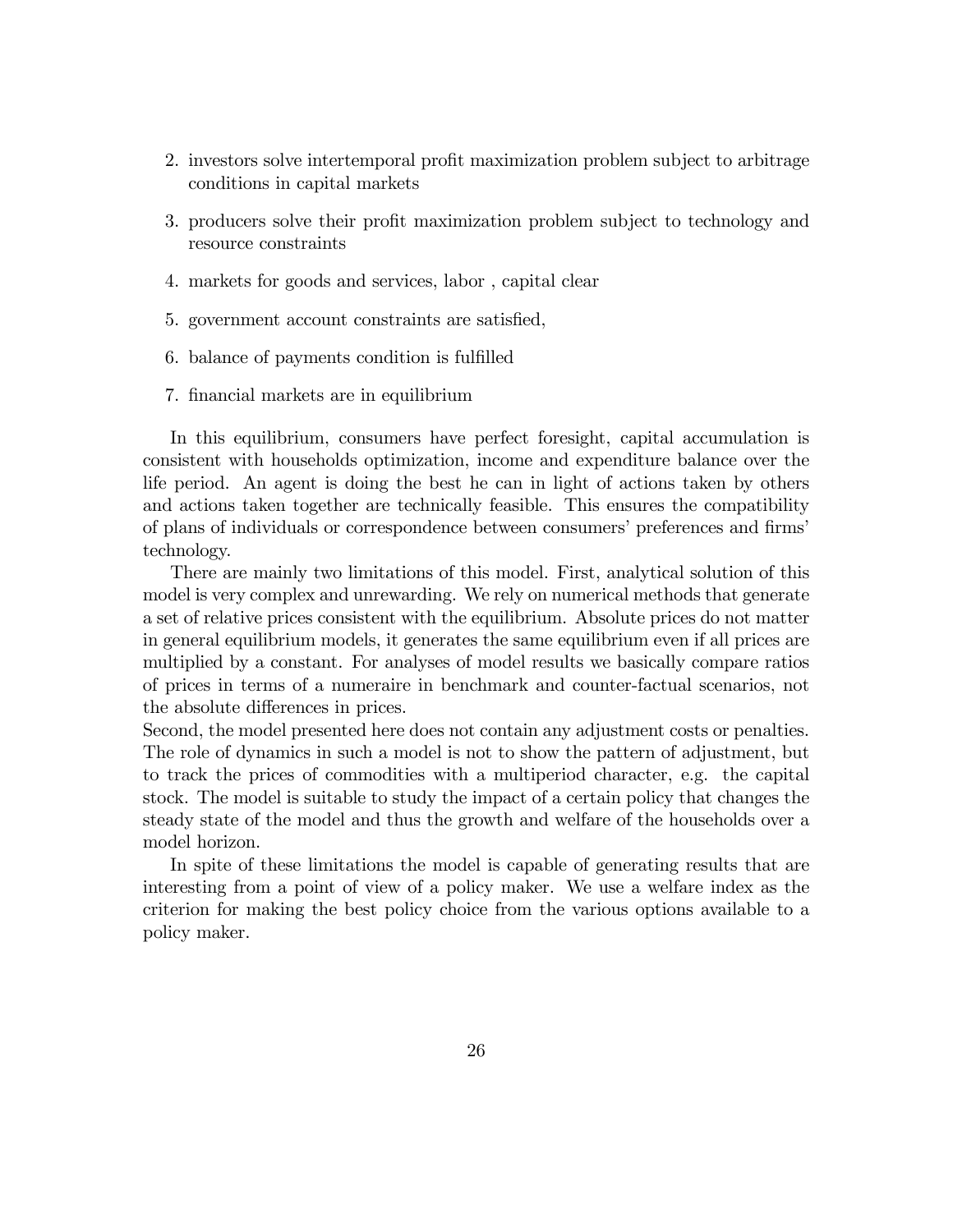- 2. investors solve intertemporal profit maximization problem subject to arbitrage conditions in capital markets
- 3. producers solve their profit maximization problem subject to technology and resource constraints
- 4. markets for goods and services, labor , capital clear
- 5. government account constraints are satisfied,
- 6. balance of payments condition is fulfilled
- 7. Önancial markets are in equilibrium

In this equilibrium, consumers have perfect foresight, capital accumulation is consistent with households optimization, income and expenditure balance over the life period. An agent is doing the best he can in light of actions taken by others and actions taken together are technically feasible. This ensures the compatibility of plans of individuals or correspondence between consumers' preferences and firms' technology.

There are mainly two limitations of this model. First, analytical solution of this model is very complex and unrewarding. We rely on numerical methods that generate a set of relative prices consistent with the equilibrium. Absolute prices do not matter in general equilibrium models, it generates the same equilibrium even if all prices are multiplied by a constant. For analyses of model results we basically compare ratios of prices in terms of a numeraire in benchmark and counter-factual scenarios, not the absolute differences in prices.

Second, the model presented here does not contain any adjustment costs or penalties. The role of dynamics in such a model is not to show the pattern of adjustment, but to track the prices of commodities with a multiperiod character, e.g. the capital stock. The model is suitable to study the impact of a certain policy that changes the steady state of the model and thus the growth and welfare of the households over a model horizon.

In spite of these limitations the model is capable of generating results that are interesting from a point of view of a policy maker. We use a welfare index as the criterion for making the best policy choice from the various options available to a policy maker.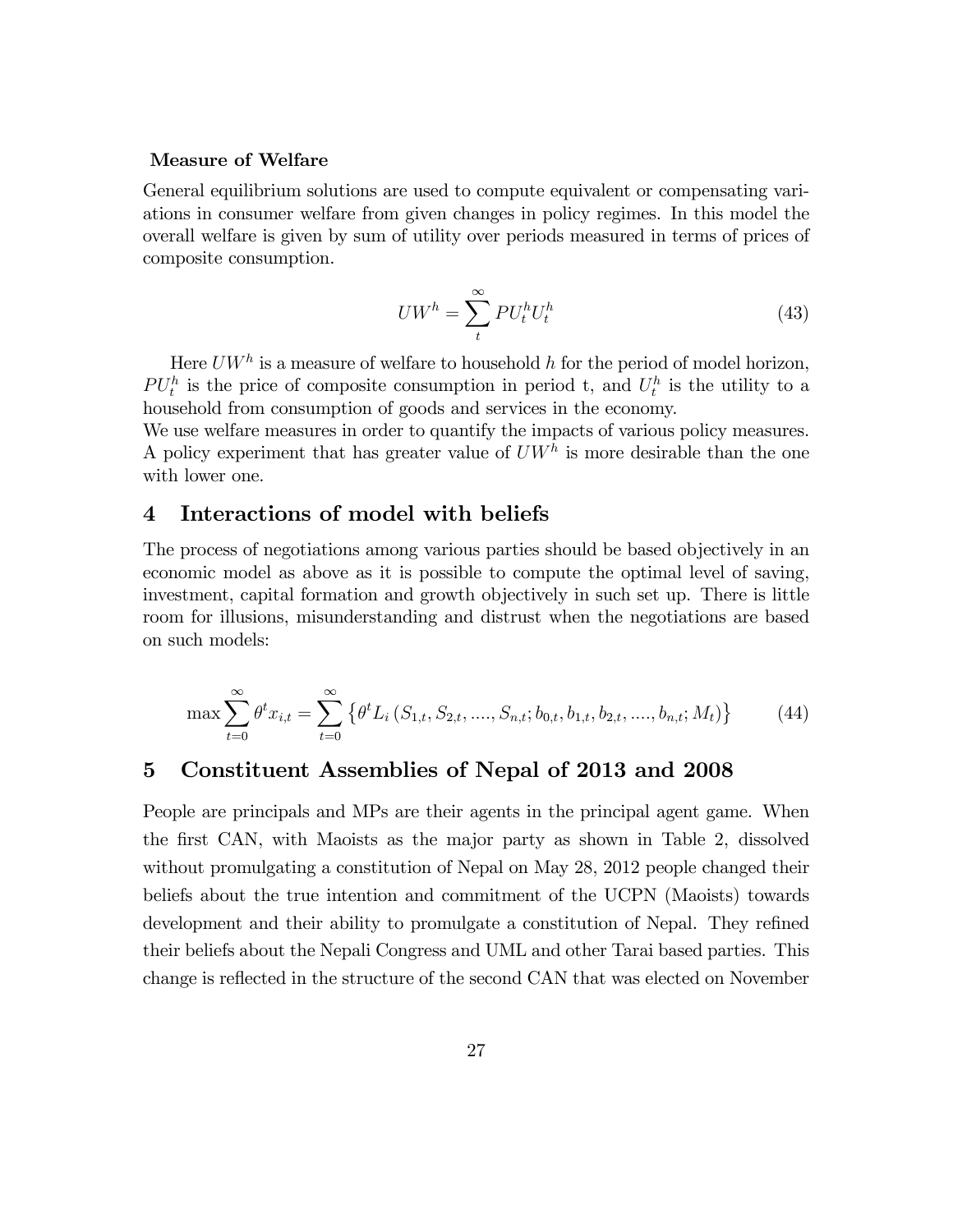#### Measure of Welfare

General equilibrium solutions are used to compute equivalent or compensating variations in consumer welfare from given changes in policy regimes. In this model the overall welfare is given by sum of utility over periods measured in terms of prices of composite consumption.

$$
U W^h = \sum_{t}^{\infty} P U_t^h U_t^h \tag{43}
$$

Here  $U W^h$  is a measure of welfare to household h for the period of model horizon,  $PU_t^h$  is the price of composite consumption in period t, and  $U_t^h$  is the utility to a household from consumption of goods and services in the economy.

We use welfare measures in order to quantify the impacts of various policy measures. A policy experiment that has greater value of  $U W<sup>h</sup>$  is more desirable than the one with lower one.

## 4 Interactions of model with beliefs

The process of negotiations among various parties should be based objectively in an economic model as above as it is possible to compute the optimal level of saving, investment, capital formation and growth objectively in such set up. There is little room for illusions, misunderstanding and distrust when the negotiations are based on such models:

$$
\max \sum_{t=0}^{\infty} \theta^t x_{i,t} = \sum_{t=0}^{\infty} \left\{ \theta^t L_i \left( S_{1,t}, S_{2,t}, \dots, S_{n,t}; b_{0,t}, b_{1,t}, b_{2,t}, \dots, b_{n,t}; M_t \right) \right\}
$$
(44)

## 5 Constituent Assemblies of Nepal of 2013 and 2008

People are principals and MPs are their agents in the principal agent game. When the first CAN, with Maoists as the major party as shown in Table 2, dissolved without promulgating a constitution of Nepal on May 28, 2012 people changed their beliefs about the true intention and commitment of the UCPN (Maoists) towards development and their ability to promulgate a constitution of Nepal. They refined their beliefs about the Nepali Congress and UML and other Tarai based parties. This change is reflected in the structure of the second CAN that was elected on November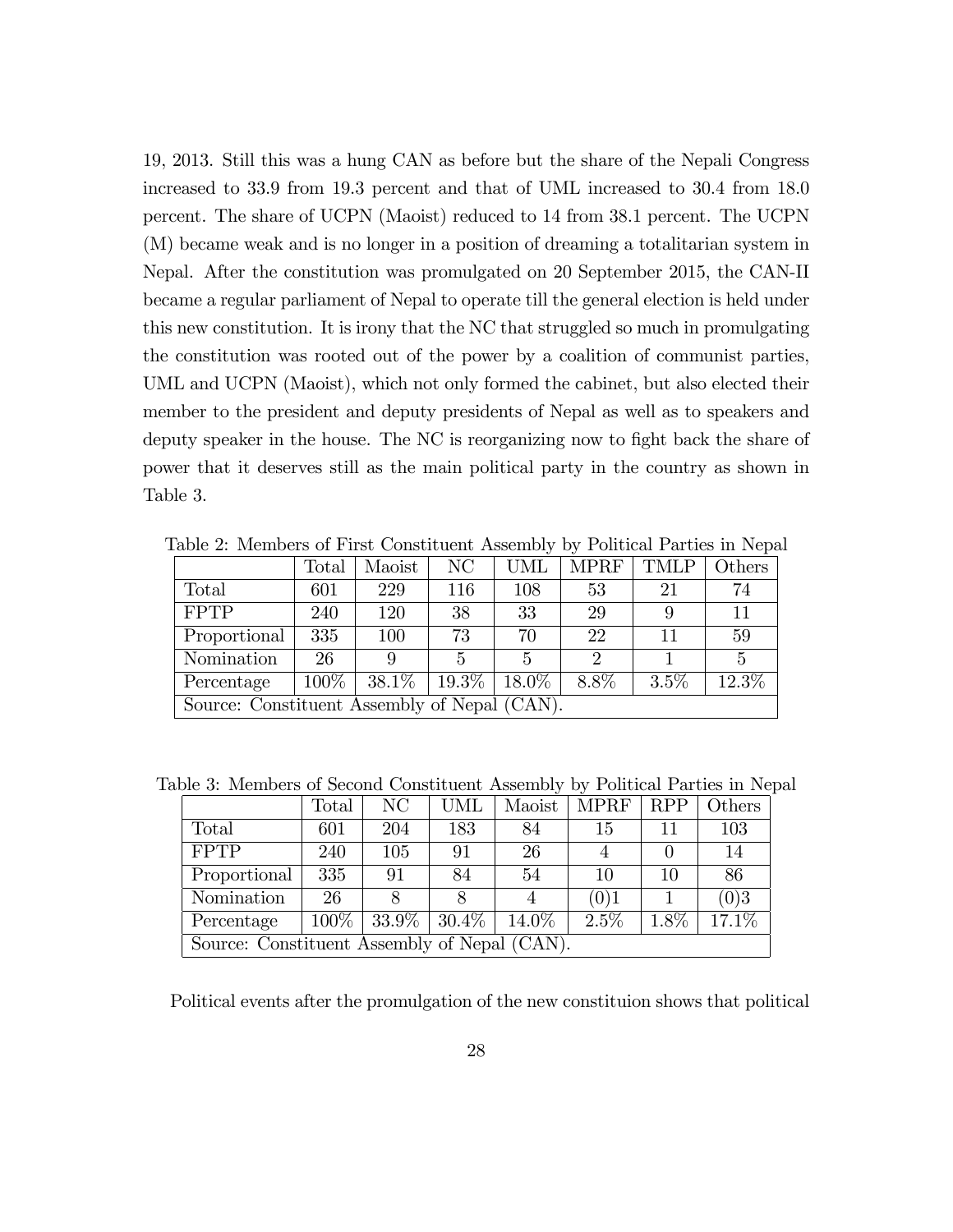19, 2013. Still this was a hung CAN as before but the share of the Nepali Congress increased to 33.9 from 19.3 percent and that of UML increased to 30.4 from 18.0 percent. The share of UCPN (Maoist) reduced to 14 from 38.1 percent. The UCPN (M) became weak and is no longer in a position of dreaming a totalitarian system in Nepal. After the constitution was promulgated on 20 September 2015, the CAN-II became a regular parliament of Nepal to operate till the general election is held under this new constitution. It is irony that the NC that struggled so much in promulgating the constitution was rooted out of the power by a coalition of communist parties, UML and UCPN (Maoist), which not only formed the cabinet, but also elected their member to the president and deputy presidents of Nepal as well as to speakers and deputy speaker in the house. The NC is reorganizing now to fight back the share of power that it deserves still as the main political party in the country as shown in Table 3.

|                                              | Total   | Maoist | N <sub>C</sub> | UML      | <b>MPRF</b>    | <b>TMLP</b> | Others |
|----------------------------------------------|---------|--------|----------------|----------|----------------|-------------|--------|
| Total                                        | 601     | 229    | 116            | 108      | 53             | 21          | 74     |
| <b>FPTP</b>                                  | 240     | 120    | 38             | 33       | 29             |             | 11     |
| Proportional                                 | 335     | 100    | 73             | 70       | 22             | 11          | 59     |
| Nomination                                   | 26      | 9      |                | 5        | $\overline{2}$ |             | 5      |
| Percentage                                   | $100\%$ | 38.1\% | $19.3\%$       | $18.0\%$ | 8.8%           | 3.5%        | 12.3%  |
| Source: Constituent Assembly of Nepal (CAN). |         |        |                |          |                |             |        |

Table 2: Members of First Constituent Assembly by Political Parties in Nepal

Table 3: Members of Second Constituent Assembly by Political Parties in Nepal

|                                              | Total   | N <sub>C</sub>  | <b>UML</b> | Maoist   | <b>MPRF</b> | <b>RPP</b> | Others   |
|----------------------------------------------|---------|-----------------|------------|----------|-------------|------------|----------|
| Total                                        | 601     | 204             | 183        | 84       | 15          | 11         | 103      |
| <b>FPTP</b>                                  | 240     | 105             | 91         | 26       |             |            | 14       |
| Proportional                                 | 335     | 91              | 84         | 54       | 10          | 10         | 86       |
| Nomination                                   | 26      |                 |            |          | (0)1        |            | (0)3     |
| Percentage                                   | $100\%$ | $33.9\%$ 30.4\% |            | $14.0\%$ | $2.5\%$     | $1.8\%$    | $17.1\%$ |
| Source: Constituent Assembly of Nepal (CAN). |         |                 |            |          |             |            |          |

Political events after the promulgation of the new constituion shows that political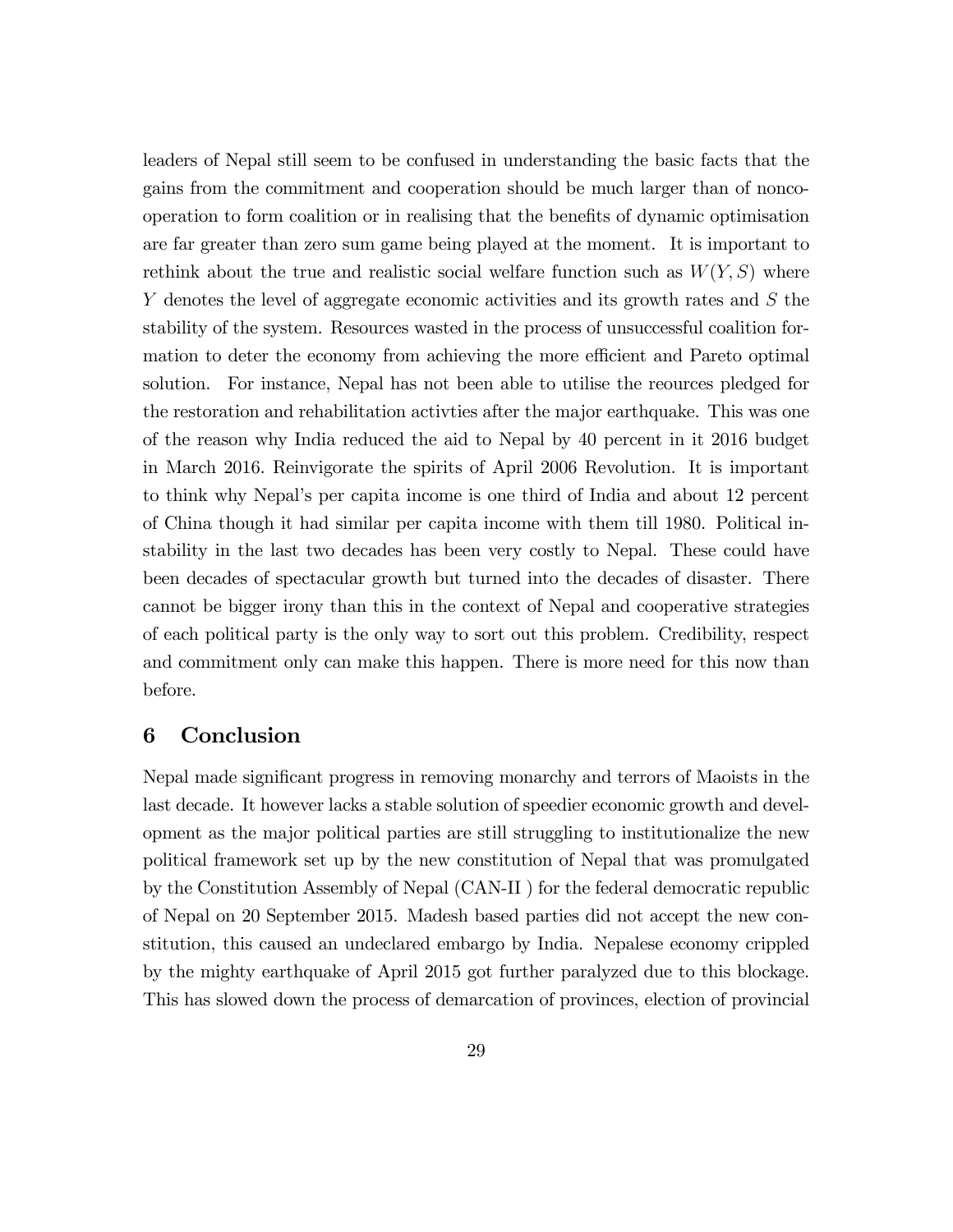leaders of Nepal still seem to be confused in understanding the basic facts that the gains from the commitment and cooperation should be much larger than of noncooperation to form coalition or in realising that the benefits of dynamic optimisation are far greater than zero sum game being played at the moment. It is important to rethink about the true and realistic social welfare function such as  $W(Y, S)$  where Y denotes the level of aggregate economic activities and its growth rates and S the stability of the system. Resources wasted in the process of unsuccessful coalition formation to deter the economy from achieving the more efficient and Pareto optimal solution. For instance, Nepal has not been able to utilise the reources pledged for the restoration and rehabilitation activties after the major earthquake. This was one of the reason why India reduced the aid to Nepal by 40 percent in it 2016 budget in March 2016. Reinvigorate the spirits of April 2006 Revolution. It is important to think why Nepal's per capita income is one third of India and about 12 percent of China though it had similar per capita income with them till 1980. Political instability in the last two decades has been very costly to Nepal. These could have been decades of spectacular growth but turned into the decades of disaster. There cannot be bigger irony than this in the context of Nepal and cooperative strategies of each political party is the only way to sort out this problem. Credibility, respect and commitment only can make this happen. There is more need for this now than before.

## 6 Conclusion

Nepal made significant progress in removing monarchy and terrors of Maoists in the last decade. It however lacks a stable solution of speedier economic growth and development as the major political parties are still struggling to institutionalize the new political framework set up by the new constitution of Nepal that was promulgated by the Constitution Assembly of Nepal (CAN-II ) for the federal democratic republic of Nepal on 20 September 2015. Madesh based parties did not accept the new constitution, this caused an undeclared embargo by India. Nepalese economy crippled by the mighty earthquake of April 2015 got further paralyzed due to this blockage. This has slowed down the process of demarcation of provinces, election of provincial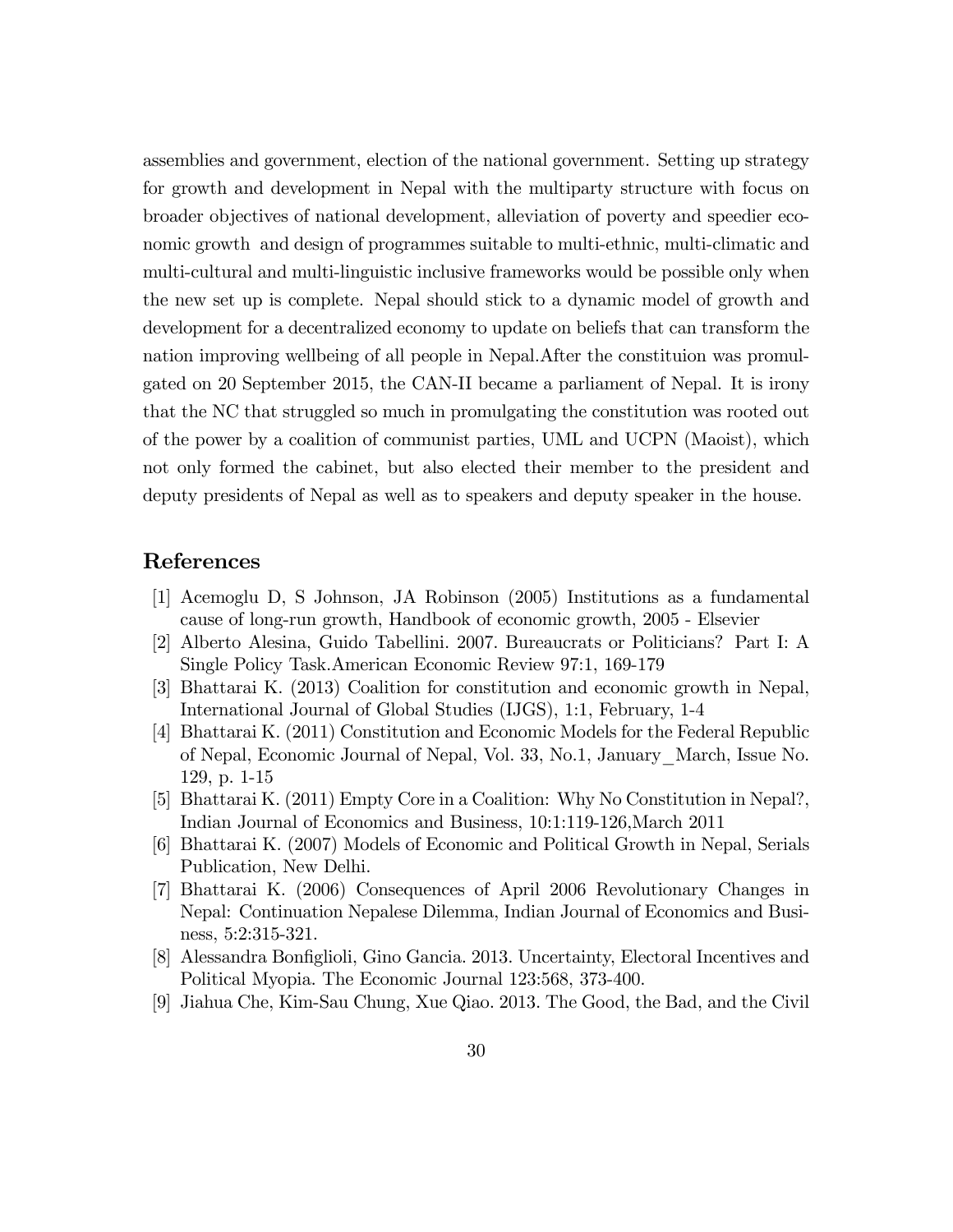assemblies and government, election of the national government. Setting up strategy for growth and development in Nepal with the multiparty structure with focus on broader objectives of national development, alleviation of poverty and speedier economic growth and design of programmes suitable to multi-ethnic, multi-climatic and multi-cultural and multi-linguistic inclusive frameworks would be possible only when the new set up is complete. Nepal should stick to a dynamic model of growth and development for a decentralized economy to update on beliefs that can transform the nation improving wellbeing of all people in Nepal.After the constituion was promulgated on 20 September 2015, the CAN-II became a parliament of Nepal. It is irony that the NC that struggled so much in promulgating the constitution was rooted out of the power by a coalition of communist parties, UML and UCPN (Maoist), which not only formed the cabinet, but also elected their member to the president and deputy presidents of Nepal as well as to speakers and deputy speaker in the house.

## References

- [1] Acemoglu D, S Johnson, JA Robinson (2005) Institutions as a fundamental cause of long-run growth, Handbook of economic growth, 2005 - Elsevier
- [2] Alberto Alesina, Guido Tabellini. 2007. Bureaucrats or Politicians? Part I: A Single Policy Task.American Economic Review 97:1, 169-179
- [3] Bhattarai K. (2013) Coalition for constitution and economic growth in Nepal, International Journal of Global Studies (IJGS), 1:1, February, 1-4
- [4] Bhattarai K. (2011) Constitution and Economic Models for the Federal Republic of Nepal, Economic Journal of Nepal, Vol. 33, No.1, January\_March, Issue No. 129, p. 1-15
- [5] Bhattarai K. (2011) Empty Core in a Coalition: Why No Constitution in Nepal?, Indian Journal of Economics and Business, 10:1:119-126,March 2011
- [6] Bhattarai K. (2007) Models of Economic and Political Growth in Nepal, Serials Publication, New Delhi.
- [7] Bhattarai K. (2006) Consequences of April 2006 Revolutionary Changes in Nepal: Continuation Nepalese Dilemma, Indian Journal of Economics and Business, 5:2:315-321.
- [8] Alessandra Bonfiglioli, Gino Gancia. 2013. Uncertainty, Electoral Incentives and Political Myopia. The Economic Journal 123:568, 373-400.
- [9] Jiahua Che, Kim-Sau Chung, Xue Qiao. 2013. The Good, the Bad, and the Civil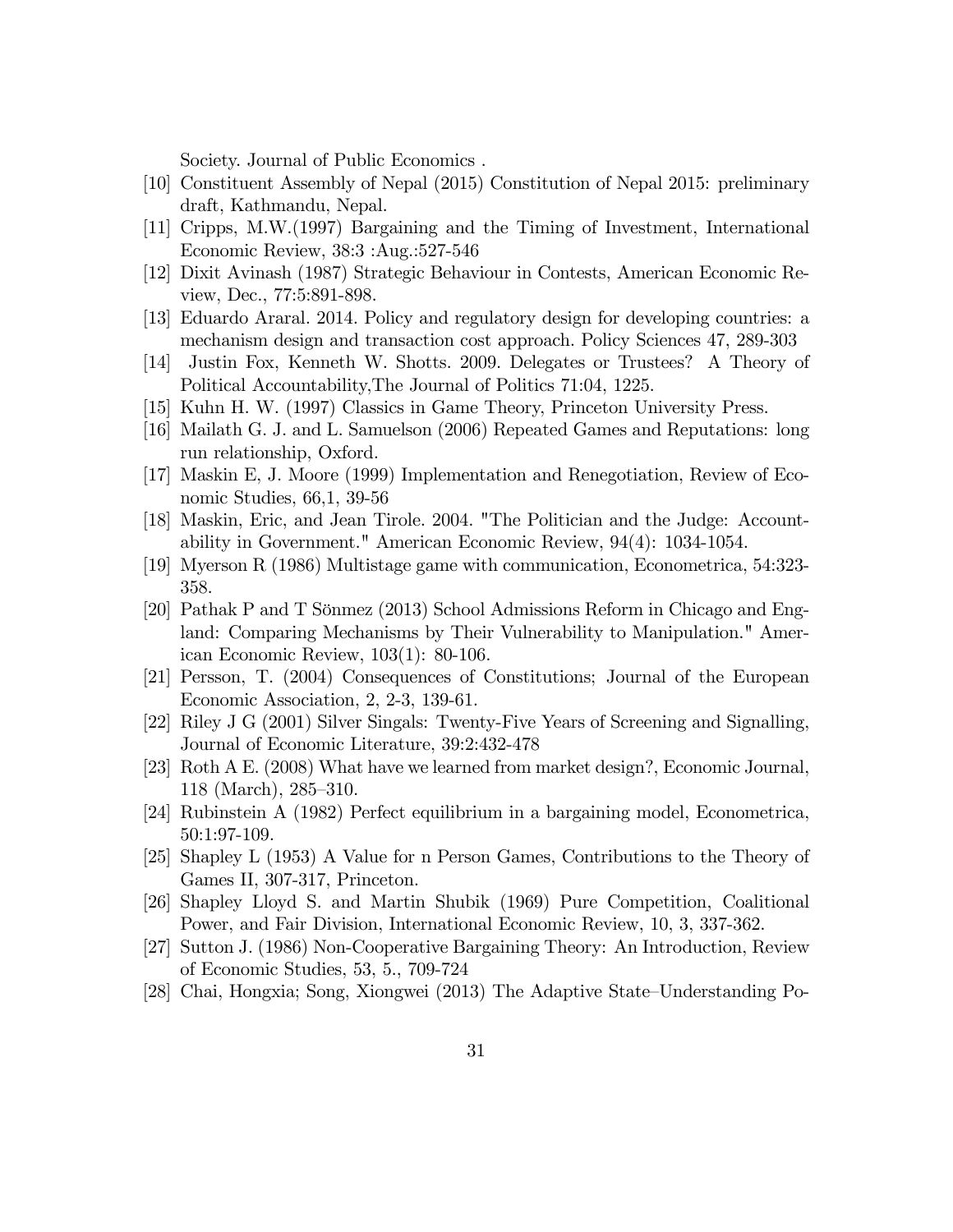Society. Journal of Public Economics .

- [10] Constituent Assembly of Nepal (2015) Constitution of Nepal 2015: preliminary draft, Kathmandu, Nepal.
- [11] Cripps, M.W.(1997) Bargaining and the Timing of Investment, International Economic Review, 38:3 :Aug.:527-546
- [12] Dixit Avinash (1987) Strategic Behaviour in Contests, American Economic Review, Dec., 77:5:891-898.
- [13] Eduardo Araral. 2014. Policy and regulatory design for developing countries: a mechanism design and transaction cost approach. Policy Sciences 47, 289-303
- [14] Justin Fox, Kenneth W. Shotts. 2009. Delegates or Trustees? A Theory of Political Accountability,The Journal of Politics 71:04, 1225.
- [15] Kuhn H. W. (1997) Classics in Game Theory, Princeton University Press.
- [16] Mailath G. J. and L. Samuelson (2006) Repeated Games and Reputations: long run relationship, Oxford.
- [17] Maskin E, J. Moore (1999) Implementation and Renegotiation, Review of Economic Studies, 66,1, 39-56
- [18] Maskin, Eric, and Jean Tirole. 2004. "The Politician and the Judge: Accountability in Government." American Economic Review, 94(4): 1034-1054.
- [19] Myerson R (1986) Multistage game with communication, Econometrica, 54:323- 358.
- [20] Pathak P and T Sönmez (2013) School Admissions Reform in Chicago and England: Comparing Mechanisms by Their Vulnerability to Manipulation." American Economic Review, 103(1): 80-106.
- [21] Persson, T. (2004) Consequences of Constitutions; Journal of the European Economic Association, 2, 2-3, 139-61.
- [22] Riley J G (2001) Silver Singals: Twenty-Five Years of Screening and Signalling, Journal of Economic Literature, 39:2:432-478
- [23] Roth A E. (2008) What have we learned from market design?, Economic Journal,  $118$  (March),  $285-310$ .
- [24] Rubinstein A (1982) Perfect equilibrium in a bargaining model, Econometrica, 50:1:97-109.
- [25] Shapley L (1953) A Value for n Person Games, Contributions to the Theory of Games II, 307-317, Princeton.
- [26] Shapley Lloyd S. and Martin Shubik (1969) Pure Competition, Coalitional Power, and Fair Division, International Economic Review, 10, 3, 337-362.
- [27] Sutton J. (1986) Non-Cooperative Bargaining Theory: An Introduction, Review of Economic Studies, 53, 5., 709-724
- [28] Chai, Hongxia; Song, Xiongwei (2013) The Adaptive State–Understanding Po-